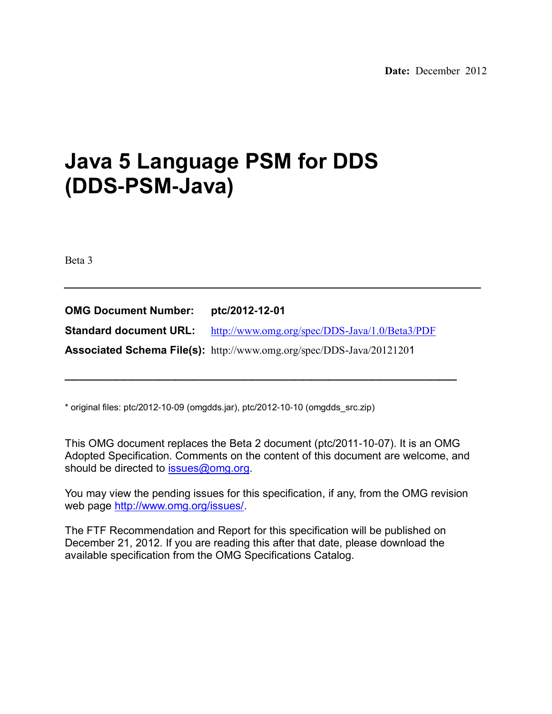# **Java 5 Language PSM for DDS (DDS-PSM-Java)**

Beta 3

**OMG Document Number: ptc/2012-12-01 Standard document URL:** <http://www.omg.org/spec/DDS-Java/1.0/Beta3/PDF> **Associated Schema File(s):** http://www.omg.org/spec/DDS-Java/20121201

\_\_\_\_\_\_\_\_\_\_\_\_\_\_\_\_\_\_\_\_\_\_\_\_\_\_\_\_\_\_\_\_\_\_\_\_\_\_\_\_\_\_\_\_\_\_

*\_\_\_\_\_\_\_\_\_\_\_\_\_\_\_\_\_\_\_\_\_\_\_\_\_\_\_\_\_\_\_\_\_\_\_\_\_\_\_\_\_\_\_\_\_\_\_\_\_\_\_\_*

\* original files: ptc/2012-10-09 (omgdds.jar), ptc/2012-10-10 (omgdds\_src.zip)

This OMG document replaces the Beta 2 document (ptc/2011-10-07). It is an OMG Adopted Specification. Comments on the content of this document are welcome, and should be directed to **issues@omg.org.** 

You may view the pending issues for this specification, if any, from the OMG revision web page [http://www.omg.org/issues/.](http://www.omg.org/issues/)

The FTF Recommendation and Report for this specification will be published on December 21, 2012. If you are reading this after that date, please download the available specification from the OMG Specifications Catalog.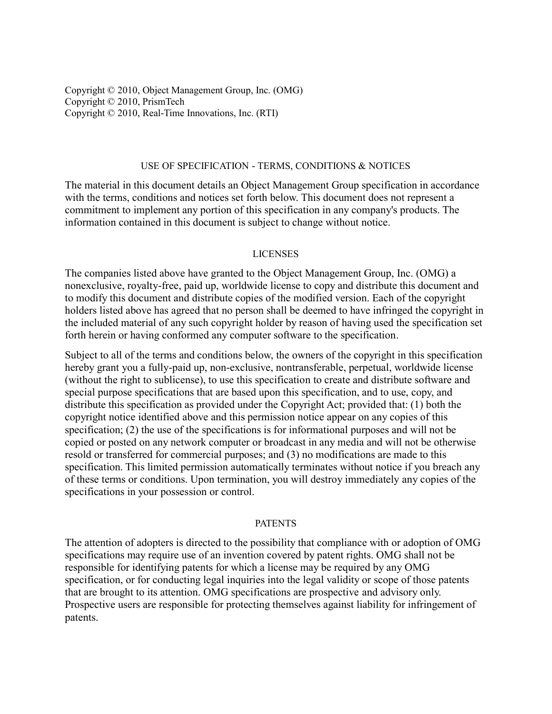Copyright © 2010, Object Management Group, Inc. (OMG) Copyright © 2010, PrismTech Copyright © 2010, Real-Time Innovations, Inc. (RTI)

#### USE OF SPECIFICATION - TERMS, CONDITIONS & NOTICES

The material in this document details an Object Management Group specification in accordance with the terms, conditions and notices set forth below. This document does not represent a commitment to implement any portion of this specification in any company's products. The information contained in this document is subject to change without notice.

#### LICENSES

The companies listed above have granted to the Object Management Group, Inc. (OMG) a nonexclusive, royalty-free, paid up, worldwide license to copy and distribute this document and to modify this document and distribute copies of the modified version. Each of the copyright holders listed above has agreed that no person shall be deemed to have infringed the copyright in the included material of any such copyright holder by reason of having used the specification set forth herein or having conformed any computer software to the specification.

Subject to all of the terms and conditions below, the owners of the copyright in this specification hereby grant you a fully-paid up, non-exclusive, nontransferable, perpetual, worldwide license (without the right to sublicense), to use this specification to create and distribute software and special purpose specifications that are based upon this specification, and to use, copy, and distribute this specification as provided under the Copyright Act; provided that: (1) both the copyright notice identified above and this permission notice appear on any copies of this specification; (2) the use of the specifications is for informational purposes and will not be copied or posted on any network computer or broadcast in any media and will not be otherwise resold or transferred for commercial purposes; and (3) no modifications are made to this specification. This limited permission automatically terminates without notice if you breach any of these terms or conditions. Upon termination, you will destroy immediately any copies of the specifications in your possession or control.

#### PATENTS

The attention of adopters is directed to the possibility that compliance with or adoption of OMG specifications may require use of an invention covered by patent rights. OMG shall not be responsible for identifying patents for which a license may be required by any OMG specification, or for conducting legal inquiries into the legal validity or scope of those patents that are brought to its attention. OMG specifications are prospective and advisory only. Prospective users are responsible for protecting themselves against liability for infringement of patents.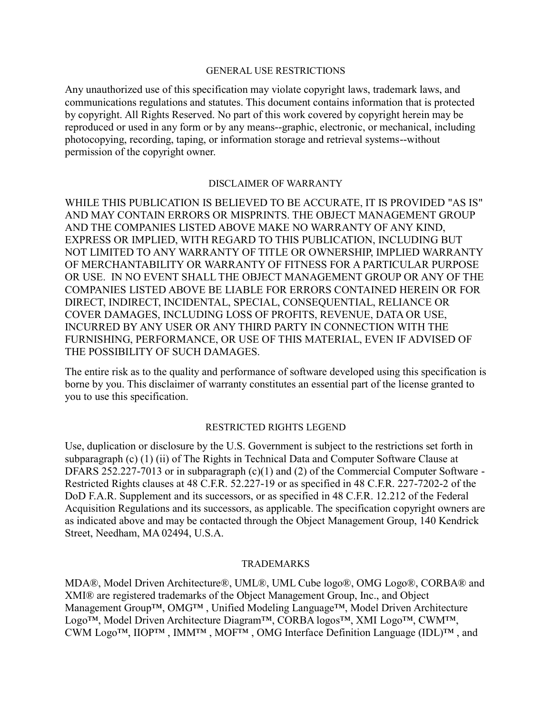#### GENERAL USE RESTRICTIONS

Any unauthorized use of this specification may violate copyright laws, trademark laws, and communications regulations and statutes. This document contains information that is protected by copyright. All Rights Reserved. No part of this work covered by copyright herein may be reproduced or used in any form or by any means--graphic, electronic, or mechanical, including photocopying, recording, taping, or information storage and retrieval systems--without permission of the copyright owner.

#### DISCLAIMER OF WARRANTY

WHILE THIS PUBLICATION IS BELIEVED TO BE ACCURATE, IT IS PROVIDED "AS IS" AND MAY CONTAIN ERRORS OR MISPRINTS. THE OBJECT MANAGEMENT GROUP AND THE COMPANIES LISTED ABOVE MAKE NO WARRANTY OF ANY KIND, EXPRESS OR IMPLIED, WITH REGARD TO THIS PUBLICATION, INCLUDING BUT NOT LIMITED TO ANY WARRANTY OF TITLE OR OWNERSHIP, IMPLIED WARRANTY OF MERCHANTABILITY OR WARRANTY OF FITNESS FOR A PARTICULAR PURPOSE OR USE. IN NO EVENT SHALL THE OBJECT MANAGEMENT GROUP OR ANY OF THE COMPANIES LISTED ABOVE BE LIABLE FOR ERRORS CONTAINED HEREIN OR FOR DIRECT, INDIRECT, INCIDENTAL, SPECIAL, CONSEQUENTIAL, RELIANCE OR COVER DAMAGES, INCLUDING LOSS OF PROFITS, REVENUE, DATA OR USE, INCURRED BY ANY USER OR ANY THIRD PARTY IN CONNECTION WITH THE FURNISHING, PERFORMANCE, OR USE OF THIS MATERIAL, EVEN IF ADVISED OF THE POSSIBILITY OF SUCH DAMAGES.

The entire risk as to the quality and performance of software developed using this specification is borne by you. This disclaimer of warranty constitutes an essential part of the license granted to you to use this specification.

#### RESTRICTED RIGHTS LEGEND

Use, duplication or disclosure by the U.S. Government is subject to the restrictions set forth in subparagraph (c) (1) (ii) of The Rights in Technical Data and Computer Software Clause at DFARS 252.227-7013 or in subparagraph (c)(1) and (2) of the Commercial Computer Software -Restricted Rights clauses at 48 C.F.R. 52.227-19 or as specified in 48 C.F.R. 227-7202-2 of the DoD F.A.R. Supplement and its successors, or as specified in 48 C.F.R. 12.212 of the Federal Acquisition Regulations and its successors, as applicable. The specification copyright owners are as indicated above and may be contacted through the Object Management Group, 140 Kendrick Street, Needham, MA 02494, U.S.A.

#### TRADEMARKS

MDA®, Model Driven Architecture®, UML®, UML Cube logo®, OMG Logo®, CORBA® and XMI® are registered trademarks of the Object Management Group, Inc., and Object Management Group™, OMG™ , Unified Modeling Language™, Model Driven Architecture Logo™, Model Driven Architecture Diagram™, CORBA logos™, XMI Logo™, CWM™, CWM Logo™, IIOP™ , IMM™ , MOF™ , OMG Interface Definition Language (IDL)™ , and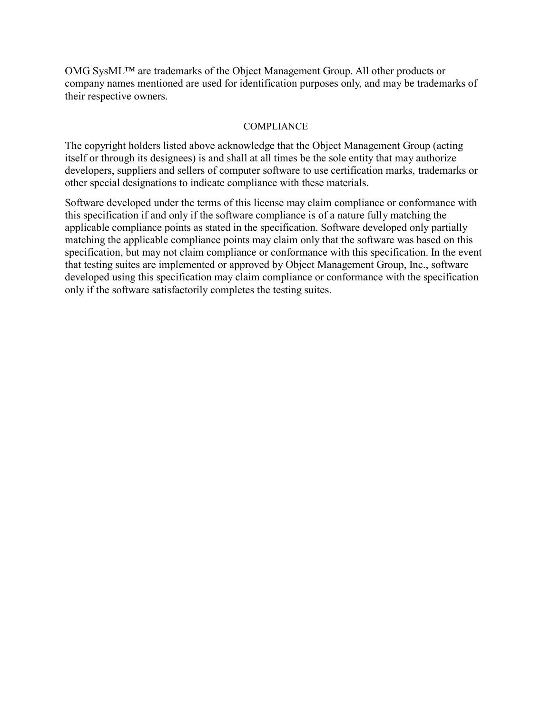OMG SysML™ are trademarks of the Object Management Group. All other products or company names mentioned are used for identification purposes only, and may be trademarks of their respective owners.

#### COMPLIANCE

The copyright holders listed above acknowledge that the Object Management Group (acting itself or through its designees) is and shall at all times be the sole entity that may authorize developers, suppliers and sellers of computer software to use certification marks, trademarks or other special designations to indicate compliance with these materials.

Software developed under the terms of this license may claim compliance or conformance with this specification if and only if the software compliance is of a nature fully matching the applicable compliance points as stated in the specification. Software developed only partially matching the applicable compliance points may claim only that the software was based on this specification, but may not claim compliance or conformance with this specification. In the event that testing suites are implemented or approved by Object Management Group, Inc., software developed using this specification may claim compliance or conformance with the specification only if the software satisfactorily completes the testing suites.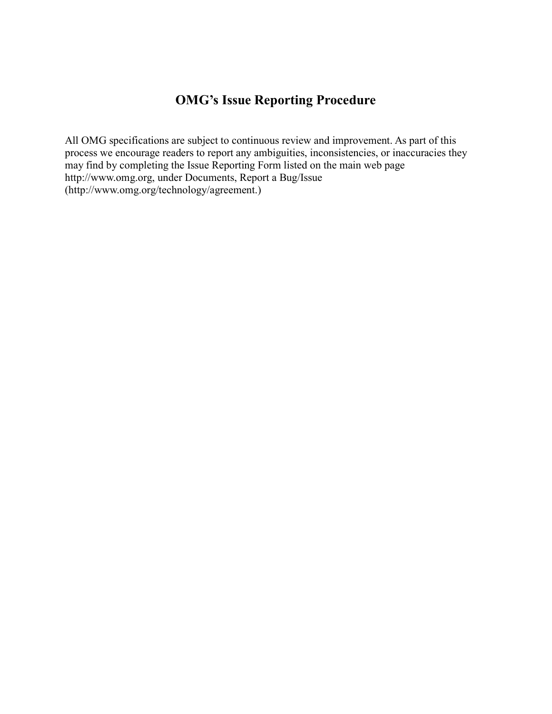## **OMG's Issue Reporting Procedure**

All OMG specifications are subject to continuous review and improvement. As part of this process we encourage readers to report any ambiguities, inconsistencies, or inaccuracies they may find by completing the Issue Reporting Form listed on the main web page http://www.omg.org, under Documents, Report a Bug/Issue (http://www.omg.org/technology/agreement.)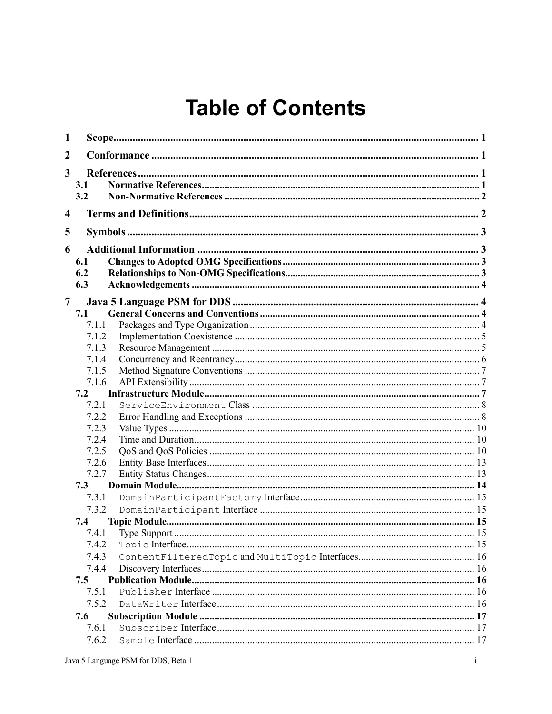# **Table of Contents**

| $\mathbf{1}$            |                   |  |  |
|-------------------------|-------------------|--|--|
| 2                       |                   |  |  |
| 3                       | 3.1<br>3.2        |  |  |
| $\overline{\mathbf{4}}$ |                   |  |  |
| 5                       |                   |  |  |
| 6                       | 6.1<br>6.2<br>6.3 |  |  |
| $\overline{7}$          |                   |  |  |
|                         | 7.1               |  |  |
|                         | 7.1.1             |  |  |
|                         | 7.1.2             |  |  |
|                         | 7.1.3             |  |  |
|                         | 7.1.4             |  |  |
|                         | 7.1.5             |  |  |
|                         | 7.1.6             |  |  |
|                         | 7.2<br>7.2.1      |  |  |
|                         | 7.2.2             |  |  |
|                         | 7.2.3             |  |  |
|                         | 7.2.4             |  |  |
|                         | 7.2.5             |  |  |
|                         | 7.2.6             |  |  |
|                         | 7.2.7             |  |  |
|                         | 7.3               |  |  |
|                         | 7.3.1             |  |  |
|                         | 7.3.2             |  |  |
|                         | 7.4               |  |  |
|                         | 7.4.1             |  |  |
|                         | 7.4.2             |  |  |
|                         | 7.4.3             |  |  |
|                         | 7.4.4             |  |  |
|                         | 7.5               |  |  |
|                         | 7.5.1             |  |  |
|                         | 7.5.2             |  |  |
|                         | 7.6               |  |  |
|                         | 7.6.1             |  |  |
|                         | 7.6.2             |  |  |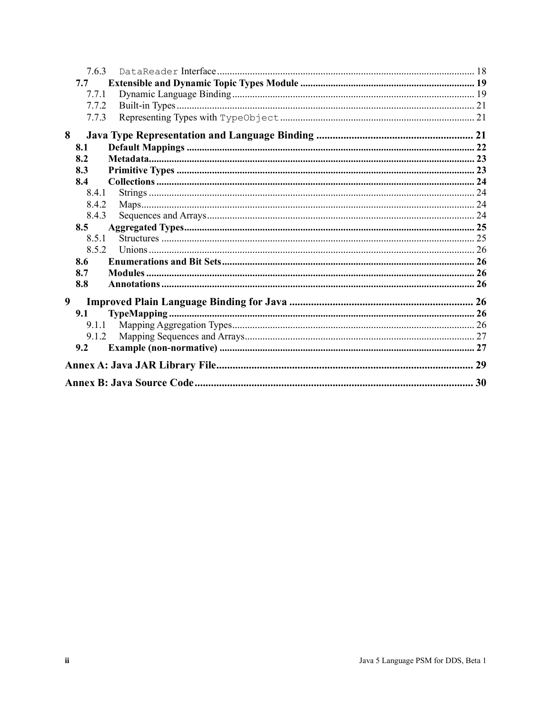|   | 7.6.3 |  |
|---|-------|--|
|   | 7.7   |  |
|   | 7.7.1 |  |
|   | 7.7.2 |  |
|   | 7.7.3 |  |
|   |       |  |
| 8 |       |  |
|   | 8.1   |  |
|   | 8.2   |  |
|   | 8.3   |  |
|   | 8.4   |  |
|   | 8.4.1 |  |
|   | 8.4.2 |  |
|   | 8.4.3 |  |
|   | 8.5   |  |
|   | 8.5.1 |  |
|   | 8.5.2 |  |
|   | 8.6   |  |
|   | 8.7   |  |
|   | 8.8   |  |
|   |       |  |
| 9 |       |  |
|   | 9.1   |  |
|   | 9.1.1 |  |
|   | 9.1.2 |  |
|   | 9.2   |  |
|   |       |  |
|   |       |  |
|   |       |  |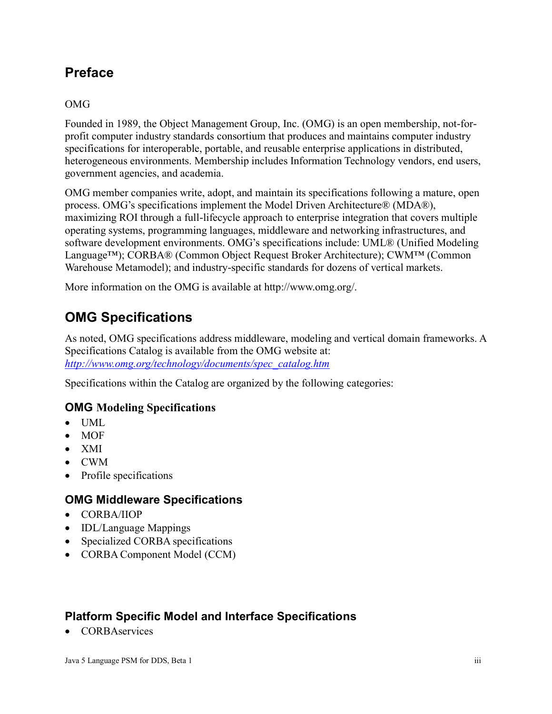## **Preface**

#### OMG

Founded in 1989, the Object Management Group, Inc. (OMG) is an open membership, not-forprofit computer industry standards consortium that produces and maintains computer industry specifications for interoperable, portable, and reusable enterprise applications in distributed, heterogeneous environments. Membership includes Information Technology vendors, end users, government agencies, and academia.

OMG member companies write, adopt, and maintain its specifications following a mature, open process. OMG's specifications implement the Model Driven Architecture® (MDA®), maximizing ROI through a full-lifecycle approach to enterprise integration that covers multiple operating systems, programming languages, middleware and networking infrastructures, and software development environments. OMG's specifications include: UML® (Unified Modeling Language™); CORBA® (Common Object Request Broker Architecture); CWM™ (Common Warehouse Metamodel); and industry-specific standards for dozens of vertical markets.

More information on the OMG is available at http://www.omg.org/.

## **OMG Specifications**

As noted, OMG specifications address middleware, modeling and vertical domain frameworks. A Specifications Catalog is available from the OMG website at: *http://www.omg.org/technology/documents/spec\_catalog.htm*

Specifications within the Catalog are organized by the following categories:

#### **OMG Modeling Specifications**

- UML
- MOF
- XMI
- CWM
- Profile specifications

#### **OMG Middleware Specifications**

- CORBA/IIOP
- IDL/Language Mappings
- Specialized CORBA specifications
- CORBA Component Model (CCM)

#### **Platform Specific Model and Interface Specifications**

• CORBAservices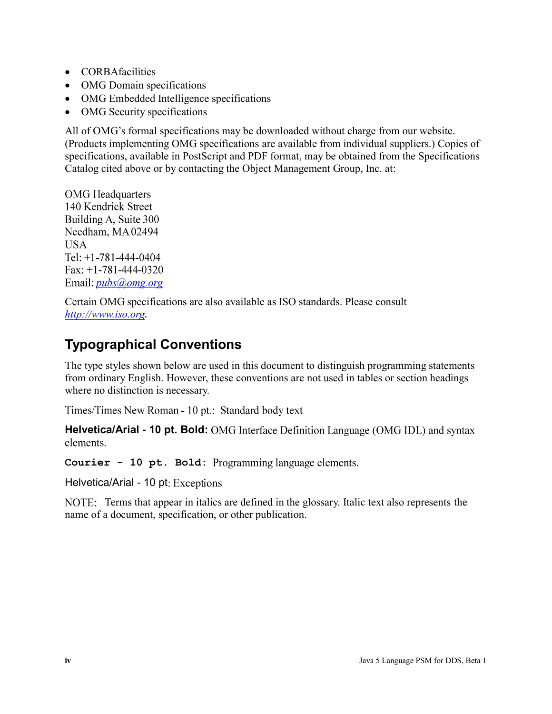- **CORBAfacilities**
- OMG Domain specifications
- OMG Embedded Intelligence specifications
- OMG Security specifications

All of OMG's formal specifications may be downloaded without charge from our website. (Products implementing OMG specifications are available from individual suppliers.) Copies of specifications, available in PostScript and PDF format, may be obtained from the Specifications Catalog cited above or by contacting the Object Management Group, Inc. at:

**OMG** Headquarters 140 Kendrick Street Building A, Suite 300 Needham, MA 02494 **USA** Tel:  $+1-781-444-0404$ Fax:  $+1-781-444-0320$ Email:  $pubs@omg.org$ 

Certain OMG specifications are also available as ISO standards. Please consult *[http://www.iso.org](http://www.iso.org/)*.

## **Typographical Conventions**

The type styles shown below are used in this document to distinguish programming statements from ordinary English. However, these conventions are not used in tables or section headings where no distinction is necessary.

Times/Times New Roman - 10 pt.: Standard body text

**Helvetica/Arial - 10 pt. Bold:** elements.

**Courier - 10 pt. Bold:**

Helvetica/Arial - 10 pt: Exceptions

NOTE: Terms that appear in italics are defined in the glossary. Italic text also represents the name of a document, specification, or other publication.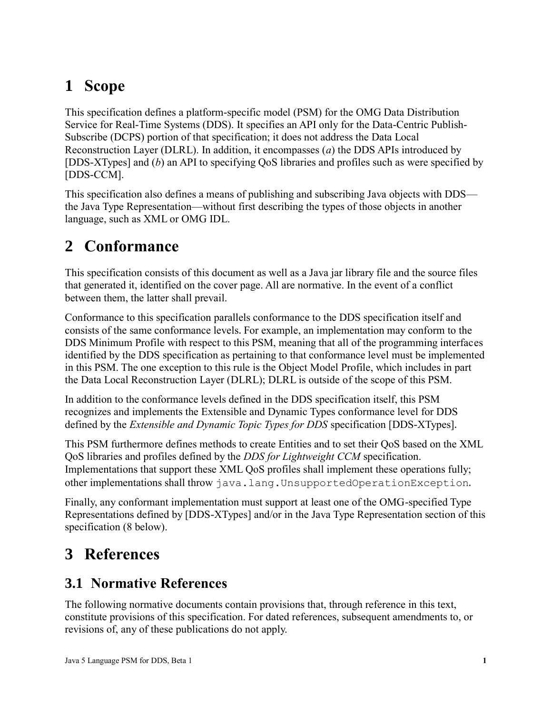## **1 Scope**

This specification defines a platform-specific model (PSM) for the OMG Data Distribution Service for Real-Time Systems (DDS). It specifies an API only for the Data-Centric Publish-Subscribe (DCPS) portion of that specification; it does not address the Data Local Reconstruction Layer (DLRL). In addition, it encompasses (*a*) the DDS APIs introduced by [DDS-XTypes] and (*b*) an API to specifying QoS libraries and profiles such as were specified by [DDS-CCM].

This specification also defines a means of publishing and subscribing Java objects with DDS the Java Type Representation—without first describing the types of those objects in another language, such as XML or OMG IDL.

## **2 Conformance**

This specification consists of this document as well as a Java jar library file and the source files that generated it, identified on the cover page. All are normative. In the event of a conflict between them, the latter shall prevail.

Conformance to this specification parallels conformance to the DDS specification itself and consists of the same conformance levels. For example, an implementation may conform to the DDS Minimum Profile with respect to this PSM, meaning that all of the programming interfaces identified by the DDS specification as pertaining to that conformance level must be implemented in this PSM. The one exception to this rule is the Object Model Profile, which includes in part the Data Local Reconstruction Layer (DLRL); DLRL is outside of the scope of this PSM.

In addition to the conformance levels defined in the DDS specification itself, this PSM recognizes and implements the Extensible and Dynamic Types conformance level for DDS defined by the *Extensible and Dynamic Topic Types for DDS* specification [DDS-XTypes].

This PSM furthermore defines methods to create Entities and to set their QoS based on the XML QoS libraries and profiles defined by the *DDS for Lightweight CCM* specification. Implementations that support these XML QoS profiles shall implement these operations fully; other implementations shall throw java.lang.UnsupportedOperationException.

Finally, any conformant implementation must support at least one of the OMG-specified Type Representations defined by [DDS-XTypes] and/or in the Java Type Representation section of this specification [\(8 below\)](#page-30-0).

## **3 References**

## **3.1 Normative References**

The following normative documents contain provisions that, through reference in this text, constitute provisions of this specification. For dated references, subsequent amendments to, or revisions of, any of these publications do not apply.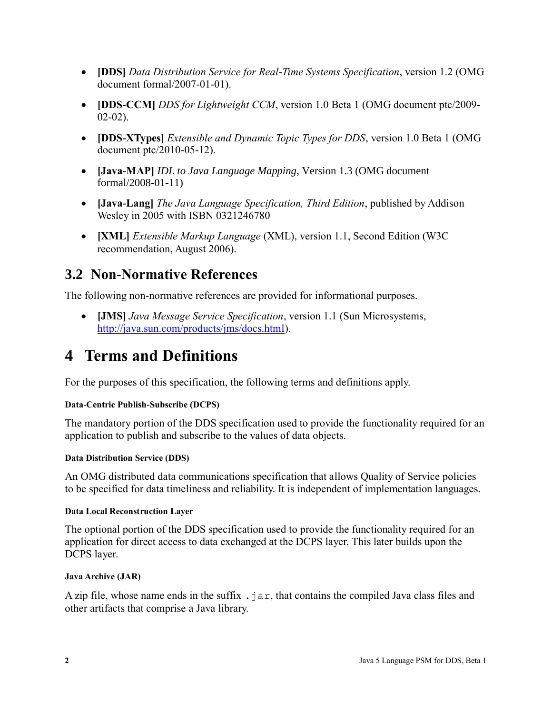- **[DDS]** *Data Distribution Service for Real-Time Systems Specification*, version 1.2 (OMG document formal/2007-01-01).
- **[DDS-CCM]** *DDS for Lightweight CCM*, version 1.0 Beta 1 (OMG document ptc/2009-02-02).
- **[DDS-XTypes]** *Extensible and Dynamic Topic Types for DDS*, version 1.0 Beta 1 (OMG document ptc/2010-05-12).
- **[Java-MAP]** *IDL to Java Language Mapping*, Version 1.3 (OMG document formal/2008-01-11)
- **[Java-Lang]** *The Java Language Specification, Third Edition*, published by Addison Wesley in 2005 with ISBN 0321246780
- **[XML]** *Extensible Markup Language* (XML), version 1.1, Second Edition (W3C recommendation, August 2006).

## **3.2 Non-Normative References**

The following non-normative references are provided for informational purposes.

 **[JMS]** *Java Message Service Specification*, version 1.1 (Sun Microsystems, [http://java.sun.com/products/jms/docs.html\)](http://java.sun.com/products/jms/docs.html).

## **4 Terms and Definitions**

For the purposes of this specification, the following terms and definitions apply.

#### **Data-Centric Publish-Subscribe (DCPS)**

The mandatory portion of the DDS specification used to provide the functionality required for an application to publish and subscribe to the values of data objects.

#### **Data Distribution Service (DDS)**

An OMG distributed data communications specification that allows Quality of Service policies to be specified for data timeliness and reliability. It is independent of implementation languages.

#### **Data Local Reconstruction Layer**

The optional portion of the DDS specification used to provide the functionality required for an application for direct access to data exchanged at the DCPS layer. This later builds upon the DCPS layer.

#### **Java Archive (JAR)**

A zip file, whose name ends in the suffix  $\cdot$ ,  $\exists$  ar, that contains the compiled Java class files and other artifacts that comprise a Java library.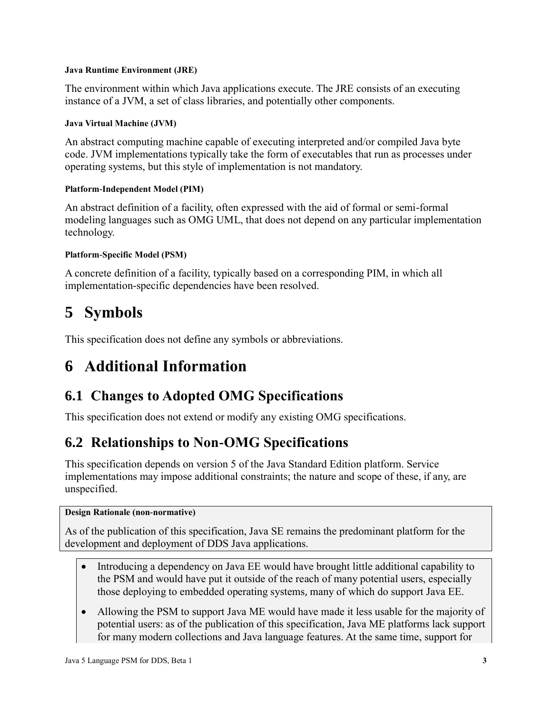#### **Java Runtime Environment (JRE)**

The environment within which Java applications execute. The JRE consists of an executing instance of a JVM, a set of class libraries, and potentially other components.

#### **Java Virtual Machine (JVM)**

An abstract computing machine capable of executing interpreted and/or compiled Java byte code. JVM implementations typically take the form of executables that run as processes under operating systems, but this style of implementation is not mandatory.

#### **Platform-Independent Model (PIM)**

An abstract definition of a facility, often expressed with the aid of formal or semi-formal modeling languages such as OMG UML, that does not depend on any particular implementation technology.

#### **Platform-Specific Model (PSM)**

A concrete definition of a facility, typically based on a corresponding PIM, in which all implementation-specific dependencies have been resolved.

## **5 Symbols**

This specification does not define any symbols or abbreviations.

## **6 Additional Information**

## **6.1 Changes to Adopted OMG Specifications**

This specification does not extend or modify any existing OMG specifications.

## **6.2 Relationships to Non-OMG Specifications**

This specification depends on version 5 of the Java Standard Edition platform. Service implementations may impose additional constraints; the nature and scope of these, if any, are unspecified.

#### **Design Rationale (non-normative)**

As of the publication of this specification, Java SE remains the predominant platform for the development and deployment of DDS Java applications.

- Introducing a dependency on Java EE would have brought little additional capability to the PSM and would have put it outside of the reach of many potential users, especially those deploying to embedded operating systems, many of which do support Java EE.
- Allowing the PSM to support Java ME would have made it less usable for the majority of potential users: as of the publication of this specification, Java ME platforms lack support for many modern collections and Java language features. At the same time, support for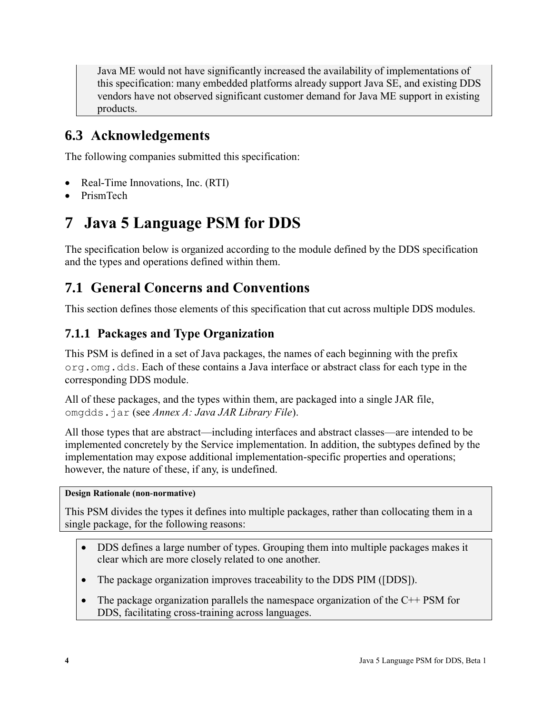Java ME would not have significantly increased the availability of implementations of this specification: many embedded platforms already support Java SE, and existing DDS vendors have not observed significant customer demand for Java ME support in existing products.

## **6.3 Acknowledgements**

The following companies submitted this specification:

- Real-Time Innovations, Inc. (RTI)
- PrismTech

## **7 Java 5 Language PSM for DDS**

The specification below is organized according to the module defined by the DDS specification and the types and operations defined within them.

## **7.1 General Concerns and Conventions**

This section defines those elements of this specification that cut across multiple DDS modules.

## **7.1.1 Packages and Type Organization**

This PSM is defined in a set of Java packages, the names of each beginning with the prefix org.omg.dds. Each of these contains a Java interface or abstract class for each type in the corresponding DDS module.

All of these packages, and the types within them, are packaged into a single JAR file, omgdds.jar (see *Annex A: Java JAR Library File*).

All those types that are abstract—including interfaces and abstract classes—are intended to be implemented concretely by the Service implementation. In addition, the subtypes defined by the implementation may expose additional implementation-specific properties and operations; however, the nature of these, if any, is undefined.

**Design Rationale (non-normative)**

This PSM divides the types it defines into multiple packages, rather than collocating them in a single package, for the following reasons:

- DDS defines a large number of types. Grouping them into multiple packages makes it clear which are more closely related to one another.
- The package organization improves traceability to the DDS PIM ([DDS]).
- The package organization parallels the namespace organization of the C++ PSM for DDS, facilitating cross-training across languages.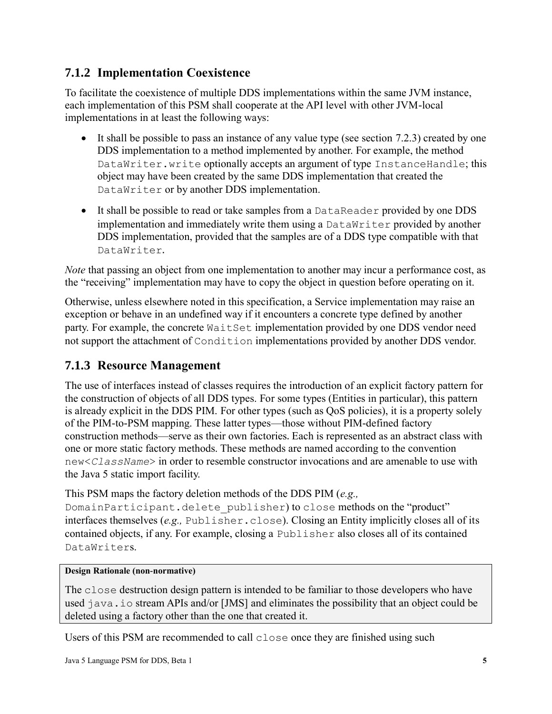### **7.1.2 Implementation Coexistence**

To facilitate the coexistence of multiple DDS implementations within the same JVM instance, each implementation of this PSM shall cooperate at the API level with other JVM-local implementations in at least the following ways:

- It shall be possible to pass an instance of any value type (see section [7.2.3\)](#page-19-0) created by one DDS implementation to a method implemented by another. For example, the method DataWriter.write optionally accepts an argument of type InstanceHandle; this object may have been created by the same DDS implementation that created the DataWriter or by another DDS implementation.
- It shall be possible to read or take samples from a DataReader provided by one DDS implementation and immediately write them using a DataWriter provided by another DDS implementation, provided that the samples are of a DDS type compatible with that DataWriter.

*Note* that passing an object from one implementation to another may incur a performance cost, as the "receiving" implementation may have to copy the object in question before operating on it.

Otherwise, unless elsewhere noted in this specification, a Service implementation may raise an exception or behave in an undefined way if it encounters a concrete type defined by another party. For example, the concrete WaitSet implementation provided by one DDS vendor need not support the attachment of Condition implementations provided by another DDS vendor.

### **7.1.3 Resource Management**

The use of interfaces instead of classes requires the introduction of an explicit factory pattern for the construction of objects of all DDS types. For some types (Entities in particular), this pattern is already explicit in the DDS PIM. For other types (such as QoS policies), it is a property solely of the PIM-to-PSM mapping. These latter types—those without PIM-defined factory construction methods—serve as their own factories. Each is represented as an abstract class with one or more static factory methods. These methods are named according to the convention new<*ClassName*> in order to resemble constructor invocations and are amenable to use with the Java 5 static import facility.

This PSM maps the factory deletion methods of the DDS PIM (*e.g.,*

DomainParticipant.delete\_publisher) to close methods on the "product" interfaces themselves (e.g., Publisher.close). Closing an Entity implicitly closes all of its contained objects, if any. For example, closing a Publisher also closes all of its contained DataWriters.

#### **Design Rationale (non-normative)**

The close destruction design pattern is intended to be familiar to those developers who have used java.io stream APIs and/or [JMS] and eliminates the possibility that an object could be deleted using a factory other than the one that created it.

Users of this PSM are recommended to call close once they are finished using such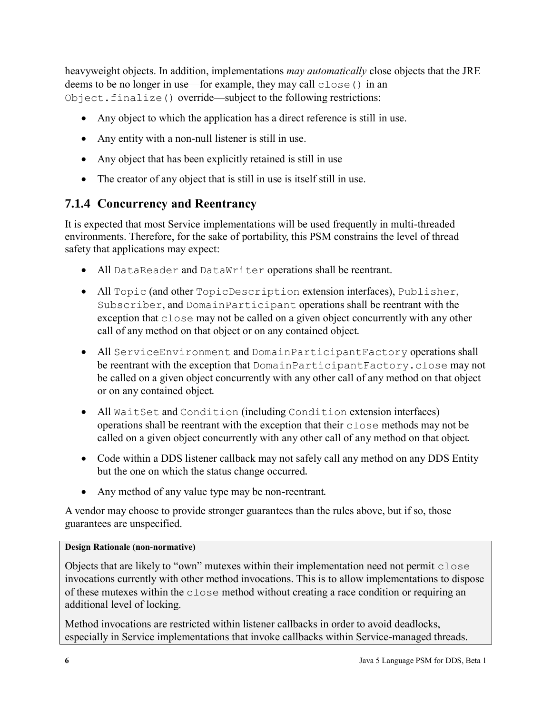heavyweight objects. In addition, implementations *may automatically* close objects that the JRE deems to be no longer in use—for example, they may call close() in an Object.finalize() override—subject to the following restrictions:

- Any object to which the application has a direct reference is still in use.
- Any entity with a non-null listener is still in use.
- Any object that has been explicitly retained is still in use
- The creator of any object that is still in use is itself still in use.

### **7.1.4 Concurrency and Reentrancy**

It is expected that most Service implementations will be used frequently in multi-threaded environments. Therefore, for the sake of portability, this PSM constrains the level of thread safety that applications may expect:

- All DataReader and DataWriter operations shall be reentrant.
- All Topic (and other TopicDescription extension interfaces), Publisher, Subscriber, and DomainParticipant operations shall be reentrant with the exception that close may not be called on a given object concurrently with any other call of any method on that object or on any contained object.
- All ServiceEnvironment and DomainParticipantFactory operations shall be reentrant with the exception that DomainParticipantFactory.close may not be called on a given object concurrently with any other call of any method on that object or on any contained object.
- All WaitSet and Condition (including Condition extension interfaces) operations shall be reentrant with the exception that their close methods may not be called on a given object concurrently with any other call of any method on that object.
- Code within a DDS listener callback may not safely call any method on any DDS Entity but the one on which the status change occurred.
- Any method of any value type may be non-reentrant.

A vendor may choose to provide stronger guarantees than the rules above, but if so, those guarantees are unspecified.

#### **Design Rationale (non-normative)**

Objects that are likely to "own" mutexes within their implementation need not permit close invocations currently with other method invocations. This is to allow implementations to dispose of these mutexes within the close method without creating a race condition or requiring an additional level of locking.

Method invocations are restricted within listener callbacks in order to avoid deadlocks, especially in Service implementations that invoke callbacks within Service-managed threads.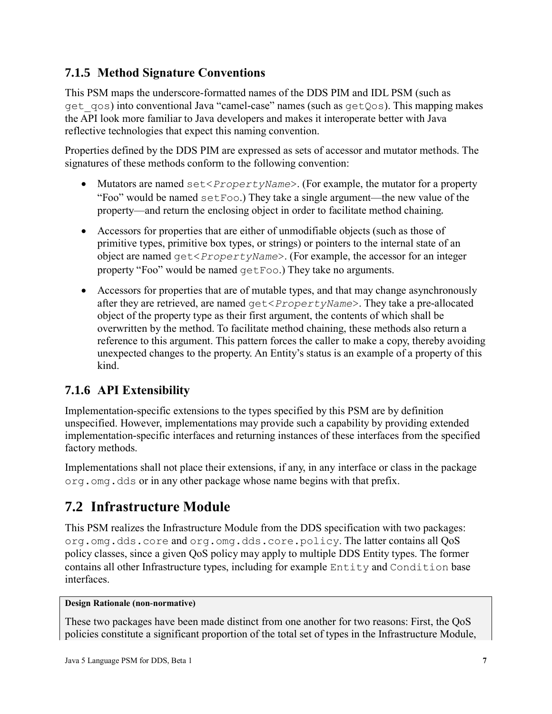### **7.1.5 Method Signature Conventions**

This PSM maps the underscore-formatted names of the DDS PIM and IDL PSM (such as get\_qos) into conventional Java "camel-case" names (such as getQos). This mapping makes the API look more familiar to Java developers and makes it interoperate better with Java reflective technologies that expect this naming convention.

Properties defined by the DDS PIM are expressed as sets of accessor and mutator methods. The signatures of these methods conform to the following convention:

- Mutators are named set<*PropertyName*>. (For example, the mutator for a property "Foo" would be named setFoo.) They take a single argument—the new value of the property—and return the enclosing object in order to facilitate method chaining.
- Accessors for properties that are either of unmodifiable objects (such as those of primitive types, primitive box types, or strings) or pointers to the internal state of an object are named get<*PropertyName*>. (For example, the accessor for an integer property "Foo" would be named getFoo.) They take no arguments.
- Accessors for properties that are of mutable types, and that may change asynchronously after they are retrieved, are named get<*PropertyName*>. They take a pre-allocated object of the property type as their first argument, the contents of which shall be overwritten by the method. To facilitate method chaining, these methods also return a reference to this argument. This pattern forces the caller to make a copy, thereby avoiding unexpected changes to the property. An Entity's status is an example of a property of this kind.

### **7.1.6 API Extensibility**

Implementation-specific extensions to the types specified by this PSM are by definition unspecified. However, implementations may provide such a capability by providing extended implementation-specific interfaces and returning instances of these interfaces from the specified factory methods.

Implementations shall not place their extensions, if any, in any interface or class in the package org.omg.dds or in any other package whose name begins with that prefix.

## **7.2 Infrastructure Module**

This PSM realizes the Infrastructure Module from the DDS specification with two packages: org.omg.dds.core and org.omg.dds.core.policy. The latter contains all QoS policy classes, since a given QoS policy may apply to multiple DDS Entity types. The former contains all other Infrastructure types, including for example Entity and Condition base interfaces.

#### **Design Rationale (non-normative)**

These two packages have been made distinct from one another for two reasons: First, the QoS policies constitute a significant proportion of the total set of types in the Infrastructure Module,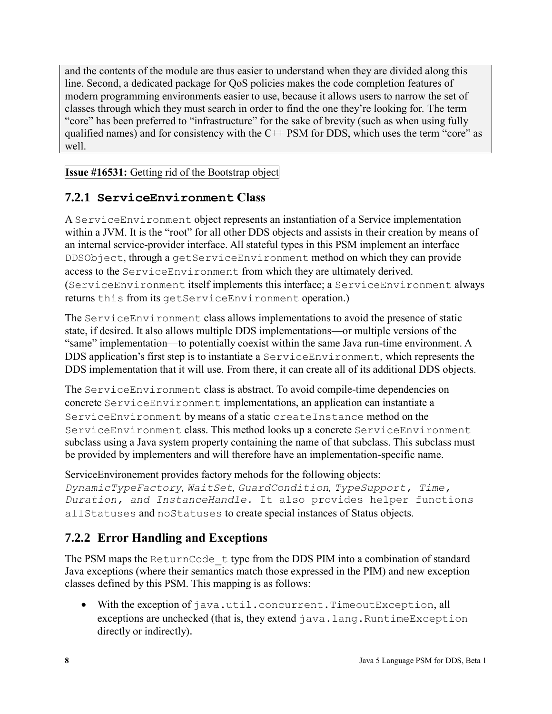and the contents of the module are thus easier to understand when they are divided along this line. Second, a dedicated package for QoS policies makes the code completion features of modern programming environments easier to use, because it allows users to narrow the set of classes through which they must search in order to find the one they're looking for. The term "core" has been preferred to "infrastructure" for the sake of brevity (such as when using fully qualified names) and for consistency with the C++ PSM for DDS, which uses the term "core" as well.

#### **Issue #16531:** Getting rid of the Bootstrap object

### **7.2.1 ServiceEnvironment Class**

A ServiceEnvironment object represents an instantiation of a Service implementation within a JVM. It is the "root" for all other DDS objects and assists in their creation by means of an internal service-provider interface. All stateful types in this PSM implement an interface DDSObject, through a getServiceEnvironment method on which they can provide access to the ServiceEnvironment from which they are ultimately derived. (ServiceEnvironment itself implements this interface; a ServiceEnvironment always returns this from its getServiceEnvironment operation.)

The ServiceEnvironment class allows implementations to avoid the presence of static state, if desired. It also allows multiple DDS implementations—or multiple versions of the "same" implementation—to potentially coexist within the same Java run-time environment. A DDS application's first step is to instantiate a ServiceEnvironment, which represents the DDS implementation that it will use. From there, it can create all of its additional DDS objects.

The ServiceEnvironment class is abstract. To avoid compile-time dependencies on concrete ServiceEnvironment implementations, an application can instantiate a ServiceEnvironment by means of a static createInstance method on the ServiceEnvironment class. This method looks up a concrete ServiceEnvironment subclass using a Java system property containing the name of that subclass. This subclass must be provided by implementers and will therefore have an implementation-specific name.

ServiceEnvironement provides factory mehods for the following objects: *DynamicTypeFactory, WaitSet, GuardCondition, TypeSupport, Time, Duration, and InstanceHandle.* It also provides helper functions allStatuses and noStatuses to create special instances of Status objects.

## **7.2.2 Error Handling and Exceptions**

The PSM maps the ReturnCode t type from the DDS PIM into a combination of standard Java exceptions (where their semantics match those expressed in the PIM) and new exception classes defined by this PSM. This mapping is as follows:

 With the exception of java.util.concurrent.TimeoutException, all exceptions are unchecked (that is, they extend java.lang.RuntimeException directly or indirectly).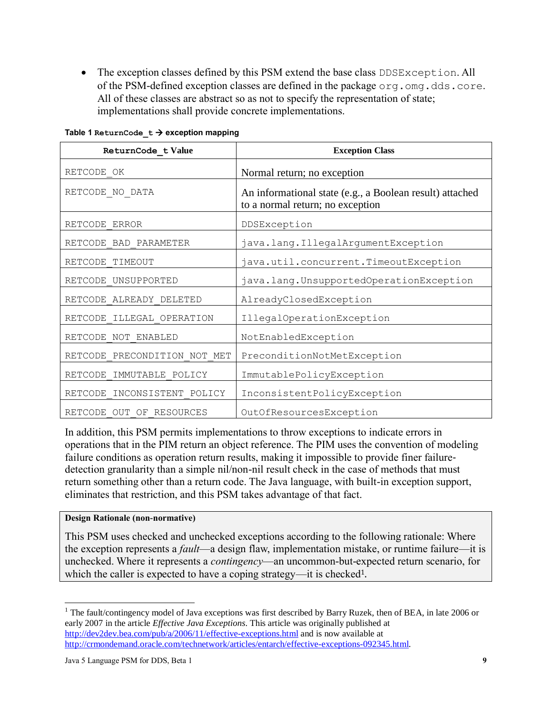• The exception classes defined by this PSM extend the base class DDSException. All of the PSM-defined exception classes are defined in the package org.omg.dds.core. All of these classes are abstract so as not to specify the representation of state; implementations shall provide concrete implementations.

| ReturnCode t Value           | <b>Exception Class</b>                                                                       |
|------------------------------|----------------------------------------------------------------------------------------------|
| RETCODE OK                   | Normal return; no exception                                                                  |
| RETCODE NO DATA              | An informational state (e.g., a Boolean result) attached<br>to a normal return; no exception |
| RETCODE ERROR                | DDSException                                                                                 |
| RETCODE BAD PARAMETER        | java.lang.IllegalArgumentException                                                           |
| RETCODE TIMEOUT              | java.util.concurrent.TimeoutException                                                        |
| RETCODE UNSUPPORTED          | java.lang.UnsupportedOperationException                                                      |
| RETCODE ALREADY DELETED      | AlreadyClosedException                                                                       |
| RETCODE ILLEGAL OPERATION    | IllegalOperationException                                                                    |
| RETCODE NOT ENABLED          | NotEnabledException                                                                          |
| RETCODE PRECONDITION NOT MET | PreconditionNotMetException                                                                  |
| RETCODE IMMUTABLE POLICY     | ImmutablePolicyException                                                                     |
| RETCODE INCONSISTENT POLICY  | InconsistentPolicyException                                                                  |
| RETCODE OUT OF RESOURCES     | OutOfResourcesException                                                                      |

**Table 1 ReturnCode\_t exception mapping**

In addition, this PSM permits implementations to throw exceptions to indicate errors in operations that in the PIM return an object reference. The PIM uses the convention of modeling failure conditions as operation return results, making it impossible to provide finer failuredetection granularity than a simple nil/non-nil result check in the case of methods that must return something other than a return code. The Java language, with built-in exception support, eliminates that restriction, and this PSM takes advantage of that fact.

#### **Design Rationale (non-normative)**

This PSM uses checked and unchecked exceptions according to the following rationale: Where the exception represents a *fault*—a design flaw, implementation mistake, or runtime failure—it is unchecked. Where it represents a *contingency*—an uncommon-but-expected return scenario, for which the caller is expected to have a coping strategy—it is checked<sup>1</sup>.

l

<sup>&</sup>lt;sup>1</sup> The fault/contingency model of Java exceptions was first described by Barry Ruzek, then of BEA, in late 2006 or early 2007 in the article *Effective Java Exceptions*. This article was originally published at <http://dev2dev.bea.com/pub/a/2006/11/effective-exceptions.html> and is now available at [http://crmondemand.oracle.com/technetwork/articles/entarch/effective-exceptions-092345.html.](http://crmondemand.oracle.com/technetwork/articles/entarch/effective-exceptions-092345.html)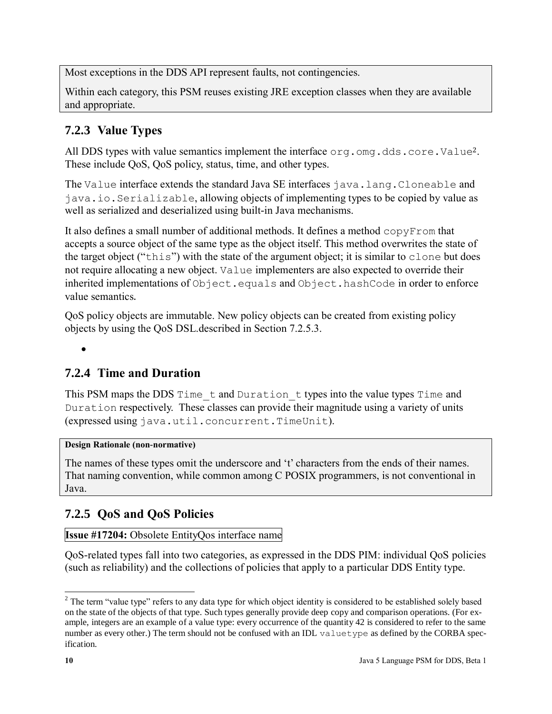Most exceptions in the DDS API represent faults, not contingencies.

Within each category, this PSM reuses existing JRE exception classes when they are available and appropriate.

## <span id="page-19-0"></span>**7.2.3 Value Types**

All DDS types with value semantics implement the interface org.omg.dds.core.Value<sup>2</sup>. These include QoS, QoS policy, status, time, and other types.

The Value interface extends the standard Java SE interfaces java.lang.Cloneable and java.io.Serializable, allowing objects of implementing types to be copied by value as well as serialized and deserialized using built-in Java mechanisms.

It also defines a small number of additional methods. It defines a method  $\text{copyFrom that}$ accepts a source object of the same type as the object itself. This method overwrites the state of the target object ("this") with the state of the argument object; it is similar to clone but does not require allocating a new object. Value implementers are also expected to override their inherited implementations of  $Object$ .equals and  $Object$ .hashCode in order to enforce value semantics.

QoS policy objects are immutable. New policy objects can be created from existing policy objects by using the QoS DSL.described in Section 7.2.5.3.

 $\bullet$ 

## **7.2.4 Time and Duration**

This PSM maps the DDS Time t and Duration t types into the value types Time and Duration respectively. These classes can provide their magnitude using a variety of units (expressed using java.util.concurrent.TimeUnit).

#### **Design Rationale (non-normative)**

The names of these types omit the underscore and 't' characters from the ends of their names. That naming convention, while common among C POSIX programmers, is not conventional in Java.

## **7.2.5 QoS and QoS Policies**

**Issue #17204:** Obsolete EntityQos interface name

QoS-related types fall into two categories, as expressed in the DDS PIM: individual QoS policies (such as reliability) and the collections of policies that apply to a particular DDS Entity type.

<sup>&</sup>lt;sup>2</sup> The term "value type" refers to any data type for which object identity is considered to be established solely based on the state of the objects of that type. Such types generally provide deep copy and comparison operations. (For example, integers are an example of a value type: every occurrence of the quantity 42 is considered to refer to the same number as every other.) The term should not be confused with an IDL valuetype as defined by the CORBA specification.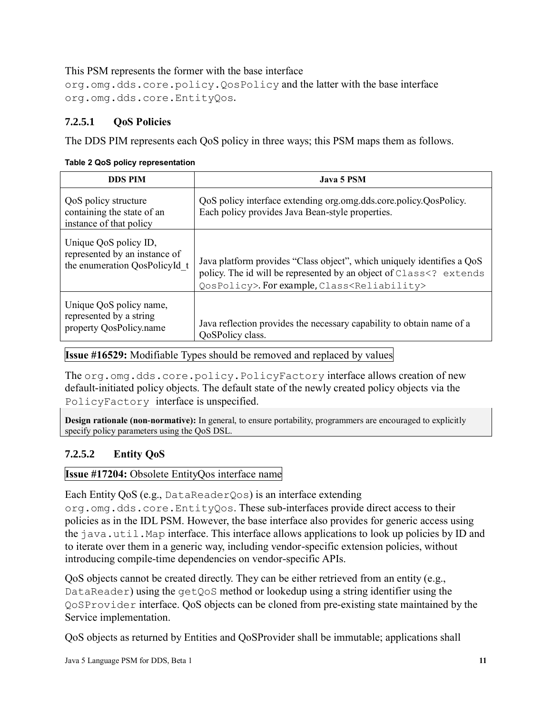This PSM represents the former with the base interface

org.omg.dds.core.policy.QosPolicy and the latter with the base interface org.omg.dds.core.EntityQos.

#### **7.2.5.1 QoS Policies**

The DDS PIM represents each QoS policy in three ways; this PSM maps them as follows.

|  |  |  |  | <b>Table 2 QoS policy representation</b> |
|--|--|--|--|------------------------------------------|
|--|--|--|--|------------------------------------------|

| <b>DDS PIM</b>                                                                          | Java 5 PSM                                                                                                                                                                                               |
|-----------------------------------------------------------------------------------------|----------------------------------------------------------------------------------------------------------------------------------------------------------------------------------------------------------|
| QoS policy structure<br>containing the state of an<br>instance of that policy           | QoS policy interface extending org.omg.dds.core.policy.QosPolicy.<br>Each policy provides Java Bean-style properties.                                                                                    |
| Unique QoS policy ID,<br>represented by an instance of<br>the enumeration QosPolicyId t | Java platform provides "Class object", which uniquely identifies a QoS<br>policy. The id will be represented by an object of Class extends<br QosPolicy>. For example, Class <reliability></reliability> |
| Unique QoS policy name,<br>represented by a string<br>property QosPolicy.name           | Java reflection provides the necessary capability to obtain name of a<br>QoSPolicy class.                                                                                                                |

#### **Issue #16529:** Modifiable Types should be removed and replaced by values

The org.omg.dds.core.policy.PolicyFactory interface allows creation of new default-initiated policy objects. The default state of the newly created policy objects via the PolicyFactory interface is unspecified.

**Design rationale (non-normative):** In general, to ensure portability, programmers are encouraged to explicitly specify policy parameters using the QoS DSL.

#### **7.2.5.2 Entity QoS**

#### **Issue #17204:** Obsolete EntityQos interface name

Each Entity QoS (e.g., DataReaderQos) is an interface extending

org.omg.dds.core.EntityQos. These sub-interfaces provide direct access to their policies as in the IDL PSM. However, the base interface also provides for generic access using the java.util.Map interface. This interface allows applications to look up policies by ID and to iterate over them in a generic way, including vendor-specific extension policies, without introducing compile-time dependencies on vendor-specific APIs.

QoS objects cannot be created directly. They can be either retrieved from an entity (e.g.,  $DataReader)$  using the getQoS method or lookedup using a string identifier using the QoSProvider interface. QoS objects can be cloned from pre-existing state maintained by the Service implementation.

QoS objects as returned by Entities and QoSProvider shall be immutable; applications shall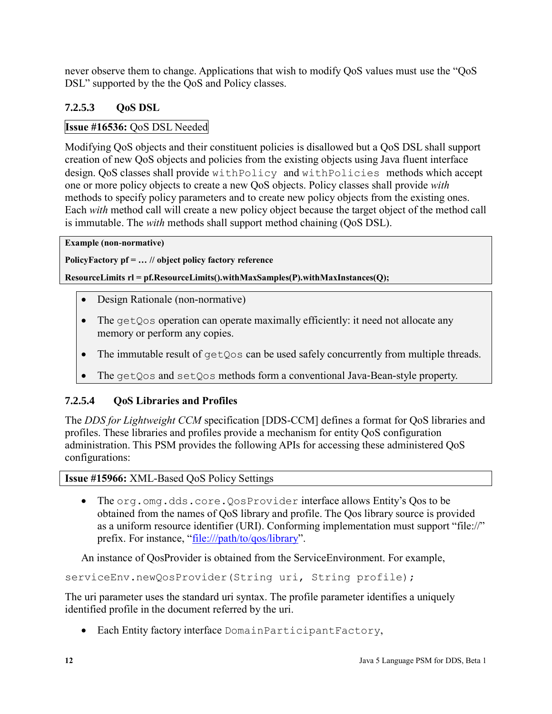never observe them to change. Applications that wish to modify QoS values must use the "QoS DSL" supported by the the QoS and Policy classes.

### **7.2.5.3 QoS DSL**

### **Issue #16536:** QoS DSL Needed

Modifying QoS objects and their constituent policies is disallowed but a QoS DSL shall support creation of new QoS objects and policies from the existing objects using Java fluent interface design. QoS classes shall provide withPolicy and withPolicies methods which accept one or more policy objects to create a new QoS objects. Policy classes shall provide *with* methods to specify policy parameters and to create new policy objects from the existing ones. Each *with* method call will create a new policy object because the target object of the method call is immutable. The *with* methods shall support method chaining (QoS DSL).

#### **Example (non-normative)**

**PolicyFactory pf = … // object policy factory reference**

**ResourceLimits rl = pf.ResourceLimits().withMaxSamples(P).withMaxInstances(Q);**

- Design Rationale (non-normative)
- The get Qos operation can operate maximally efficiently: it need not allocate any memory or perform any copies.
- The immutable result of  $q \in \mathcal{Q}$  can be used safely concurrently from multiple threads.
- The getQos and setQos methods form a conventional Java-Bean-style property.

#### **7.2.5.4 QoS Libraries and Profiles**

The *DDS for Lightweight CCM* specification [DDS-CCM] defines a format for QoS libraries and profiles. These libraries and profiles provide a mechanism for entity QoS configuration administration. This PSM provides the following APIs for accessing these administered QoS configurations:

**Issue #15966:** XML-Based QoS Policy Settings

 The org.omg.dds.core.QosProvider interface allows Entity's Qos to be obtained from the names of QoS library and profile. The Qos library source is provided as a uniform resource identifier (URI). Conforming implementation must support "file://" prefix. For instance, ["file:///path/to/qos/library"](file:///C:/path/to/qos/library).

An instance of QosProvider is obtained from the ServiceEnvironment. For example,

serviceEnv.newQosProvider(String uri, String profile);

The uri parameter uses the standard uri syntax. The profile parameter identifies a uniquely identified profile in the document referred by the uri.

Each Entity factory interface DomainParticipantFactory,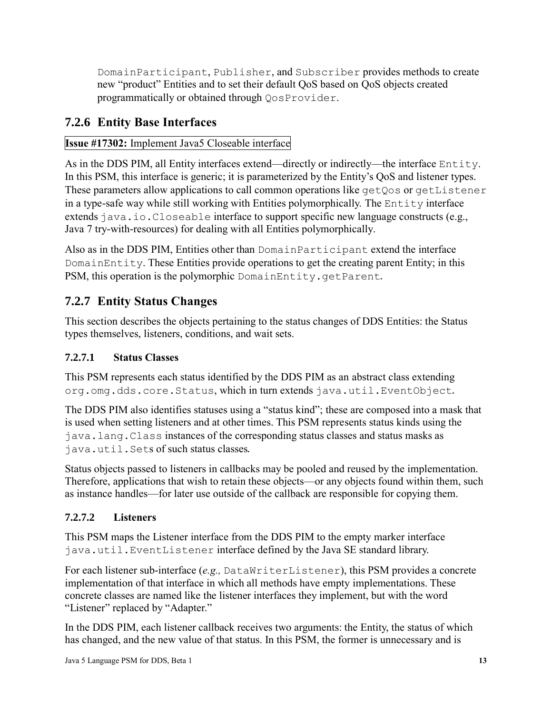DomainParticipant, Publisher, and Subscriber provides methods to create new "product" Entities and to set their default QoS based on QoS objects created programmatically or obtained through QosProvider.

### **7.2.6 Entity Base Interfaces**

### **Issue #17302:** Implement Java5 Closeable interface

As in the DDS PIM, all Entity interfaces extend—directly or indirectly—the interface Entity. In this PSM, this interface is generic; it is parameterized by the Entity's QoS and listener types. These parameters allow applications to call common operations like getQos or getListener in a type-safe way while still working with Entities polymorphically. The Entity interface extends java.io.Closeable interface to support specific new language constructs (e.g., Java 7 try-with-resources) for dealing with all Entities polymorphically.

Also as in the DDS PIM, Entities other than DomainParticipant extend the interface DomainEntity. These Entities provide operations to get the creating parent Entity; in this PSM, this operation is the polymorphic DomainEntity.getParent.

### **7.2.7 Entity Status Changes**

This section describes the objects pertaining to the status changes of DDS Entities: the Status types themselves, listeners, conditions, and wait sets.

#### **7.2.7.1 Status Classes**

This PSM represents each status identified by the DDS PIM as an abstract class extending org.omg.dds.core.Status, which in turn extends java.util.EventObject.

The DDS PIM also identifies statuses using a "status kind"; these are composed into a mask that is used when setting listeners and at other times. This PSM represents status kinds using the java.lang.Class instances of the corresponding status classes and status masks as java.util.Sets of such status classes.

Status objects passed to listeners in callbacks may be pooled and reused by the implementation. Therefore, applications that wish to retain these objects—or any objects found within them, such as instance handles—for later use outside of the callback are responsible for copying them.

#### **7.2.7.2 Listeners**

This PSM maps the Listener interface from the DDS PIM to the empty marker interface java.util.EventListener interface defined by the Java SE standard library.

For each listener sub-interface (*e.g.,* DataWriterListener), this PSM provides a concrete implementation of that interface in which all methods have empty implementations. These concrete classes are named like the listener interfaces they implement, but with the word "Listener" replaced by "Adapter."

In the DDS PIM, each listener callback receives two arguments: the Entity, the status of which has changed, and the new value of that status. In this PSM, the former is unnecessary and is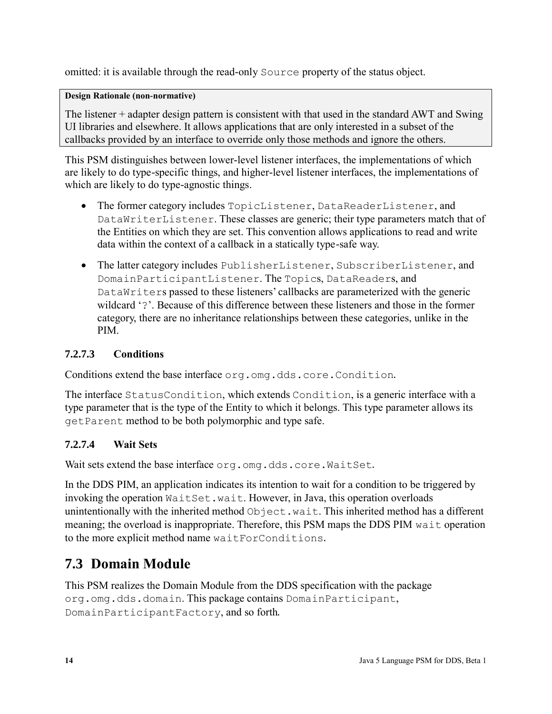omitted: it is available through the read-only Source property of the status object.

**Design Rationale (non-normative)**

The listener + adapter design pattern is consistent with that used in the standard AWT and Swing UI libraries and elsewhere. It allows applications that are only interested in a subset of the callbacks provided by an interface to override only those methods and ignore the others.

This PSM distinguishes between lower-level listener interfaces, the implementations of which are likely to do type-specific things, and higher-level listener interfaces, the implementations of which are likely to do type-agnostic things.

- The former category includes TopicListener, DataReaderListener, and DataWriterListener. These classes are generic; their type parameters match that of the Entities on which they are set. This convention allows applications to read and write data within the context of a callback in a statically type-safe way.
- The latter category includes PublisherListener, SubscriberListener, and DomainParticipantListener. The Topics, DataReaders, and DataWriters passed to these listeners' callbacks are parameterized with the generic wildcard '?'. Because of this difference between these listeners and those in the former category, there are no inheritance relationships between these categories, unlike in the PIM.

#### **7.2.7.3 Conditions**

Conditions extend the base interface  $org.$ omg.dds.core.Condition.

The interface StatusCondition, which extends Condition, is a generic interface with a type parameter that is the type of the Entity to which it belongs. This type parameter allows its getParent method to be both polymorphic and type safe.

#### **7.2.7.4 Wait Sets**

Wait sets extend the base interface org.omg.dds.core.WaitSet.

In the DDS PIM, an application indicates its intention to wait for a condition to be triggered by invoking the operation WaitSet.wait. However, in Java, this operation overloads unintentionally with the inherited method  $\circ$ bject.wait. This inherited method has a different meaning; the overload is inappropriate. Therefore, this PSM maps the DDS PIM wait operation to the more explicit method name waitForConditions.

## **7.3 Domain Module**

This PSM realizes the Domain Module from the DDS specification with the package org.omg.dds.domain. This package contains DomainParticipant, DomainParticipantFactory, and so forth.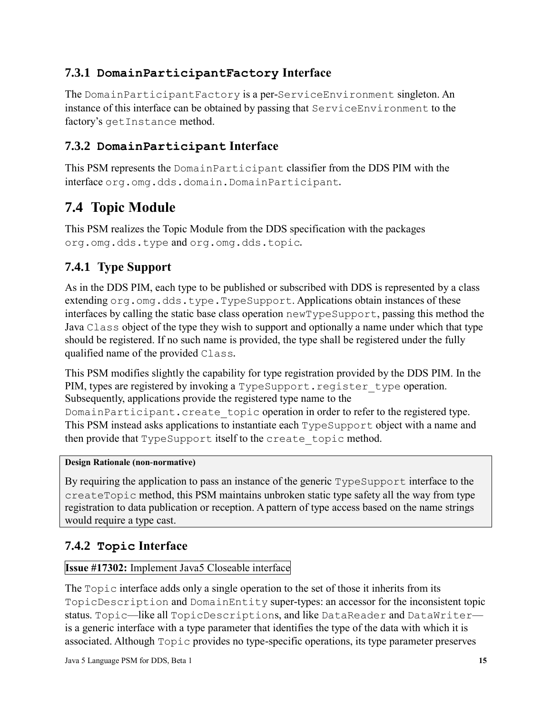### **7.3.1 DomainParticipantFactory Interface**

The DomainParticipantFactory is a per-ServiceEnvironment singleton. An instance of this interface can be obtained by passing that ServiceEnvironment to the factory's getInstance method.

### **7.3.2 DomainParticipant Interface**

This PSM represents the DomainParticipant classifier from the DDS PIM with the interface org.omg.dds.domain.DomainParticipant.

## **7.4 Topic Module**

This PSM realizes the Topic Module from the DDS specification with the packages org.omg.dds.type and org.omg.dds.topic.

### **7.4.1 Type Support**

As in the DDS PIM, each type to be published or subscribed with DDS is represented by a class extending org.omg.dds.type.TypeSupport.Applications obtain instances of these interfaces by calling the static base class operation newTypeSupport, passing this method the Java Class object of the type they wish to support and optionally a name under which that type should be registered. If no such name is provided, the type shall be registered under the fully qualified name of the provided Class.

This PSM modifies slightly the capability for type registration provided by the DDS PIM. In the PIM, types are registered by invoking a TypeSupport.register type operation. Subsequently, applications provide the registered type name to the DomainParticipant.create topic operation in order to refer to the registered type. This PSM instead asks applications to instantiate each TypeSupport object with a name and

then provide that TypeSupport itself to the create topic method.

#### **Design Rationale (non-normative)**

By requiring the application to pass an instance of the generic  $TypeSupport$  interface to the createTopic method, this PSM maintains unbroken static type safety all the way from type registration to data publication or reception. A pattern of type access based on the name strings would require a type cast.

#### **7.4.2 Topic Interface**

#### **Issue #17302:** Implement Java5 Closeable interface

The Topic interface adds only a single operation to the set of those it inherits from its TopicDescription and DomainEntity super-types: an accessor for the inconsistent topic status. Topic—like all TopicDescriptions, and like DataReader and DataWriter is a generic interface with a type parameter that identifies the type of the data with which it is associated. Although Topic provides no type-specific operations, its type parameter preserves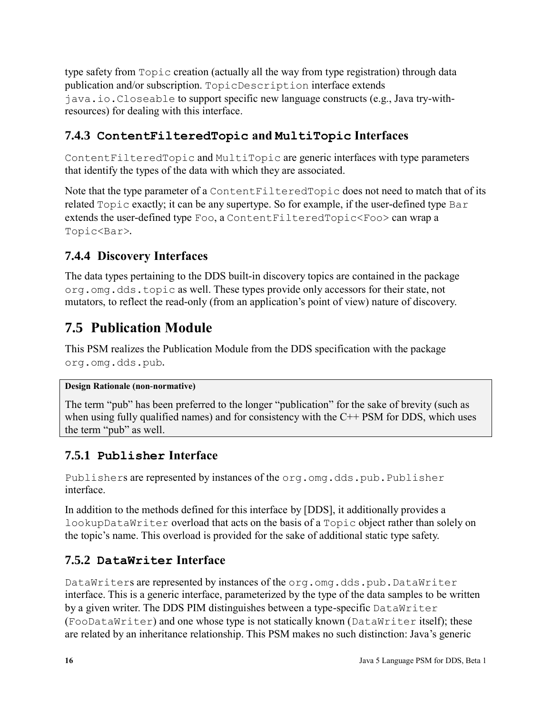type safety from Topic creation (actually all the way from type registration) through data publication and/or subscription. TopicDescription interface extends java.io.Closeable to support specific new language constructs (e.g., Java try-withresources) for dealing with this interface.

### **7.4.3 ContentFilteredTopic and MultiTopic Interfaces**

ContentFilteredTopic and MultiTopic are generic interfaces with type parameters that identify the types of the data with which they are associated.

Note that the type parameter of a ContentFilteredTopic does not need to match that of its related Topic exactly; it can be any supertype. So for example, if the user-defined type Bar extends the user-defined type Foo, a ContentFilteredTopic<Foo> can wrap a Topic<Bar>.

### **7.4.4 Discovery Interfaces**

The data types pertaining to the DDS built-in discovery topics are contained in the package org.omg.dds.topic as well. These types provide only accessors for their state, not mutators, to reflect the read-only (from an application's point of view) nature of discovery.

## **7.5 Publication Module**

This PSM realizes the Publication Module from the DDS specification with the package org.omg.dds.pub.

#### **Design Rationale (non-normative)**

The term "pub" has been preferred to the longer "publication" for the sake of brevity (such as when using fully qualified names) and for consistency with the C++ PSM for DDS, which uses the term "pub" as well.

### **7.5.1 Publisher Interface**

Publishers are represented by instances of the org.omg.dds.pub.Publisher interface.

In addition to the methods defined for this interface by [DDS], it additionally provides a lookupDataWriter overload that acts on the basis of a Topic object rather than solely on the topic's name. This overload is provided for the sake of additional static type safety.

### **7.5.2 DataWriter Interface**

DataWriters are represented by instances of the org.omg.dds.pub.DataWriter interface. This is a generic interface, parameterized by the type of the data samples to be written by a given writer. The DDS PIM distinguishes between a type-specific DataWriter (FooDataWriter) and one whose type is not statically known (DataWriter itself); these are related by an inheritance relationship. This PSM makes no such distinction: Java's generic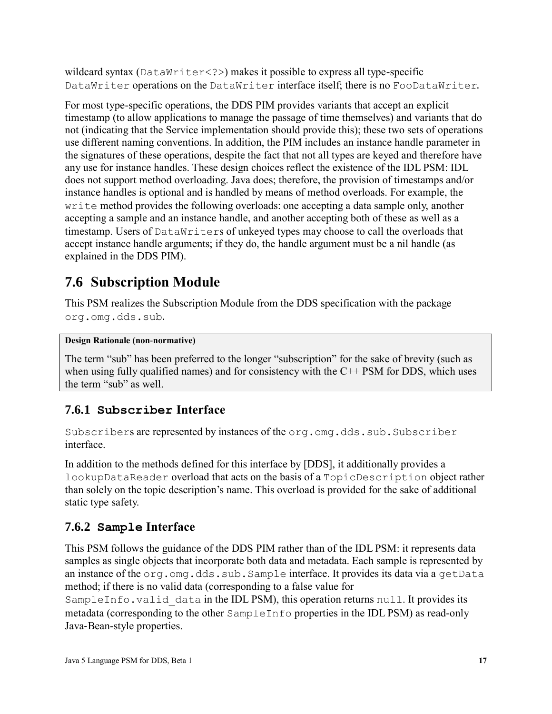wildcard syntax (DataWriter<?>) makes it possible to express all type-specific DataWriter operations on the DataWriter interface itself; there is no FooDataWriter.

For most type-specific operations, the DDS PIM provides variants that accept an explicit timestamp (to allow applications to manage the passage of time themselves) and variants that do not (indicating that the Service implementation should provide this); these two sets of operations use different naming conventions. In addition, the PIM includes an instance handle parameter in the signatures of these operations, despite the fact that not all types are keyed and therefore have any use for instance handles. These design choices reflect the existence of the IDL PSM: IDL does not support method overloading. Java does; therefore, the provision of timestamps and/or instance handles is optional and is handled by means of method overloads. For example, the write method provides the following overloads: one accepting a data sample only, another accepting a sample and an instance handle, and another accepting both of these as well as a timestamp. Users of DataWriters of unkeyed types may choose to call the overloads that accept instance handle arguments; if they do, the handle argument must be a nil handle (as explained in the DDS PIM).

## **7.6 Subscription Module**

This PSM realizes the Subscription Module from the DDS specification with the package org.omg.dds.sub.

#### **Design Rationale (non-normative)**

The term "sub" has been preferred to the longer "subscription" for the sake of brevity (such as when using fully qualified names) and for consistency with the C++ PSM for DDS, which uses the term "sub" as well.

### **7.6.1 Subscriber Interface**

Subscribers are represented by instances of the org.omg.dds.sub.Subscriber interface.

In addition to the methods defined for this interface by [DDS], it additionally provides a lookupDataReader overload that acts on the basis of a TopicDescription object rather than solely on the topic description's name. This overload is provided for the sake of additional static type safety.

### **7.6.2 Sample Interface**

This PSM follows the guidance of the DDS PIM rather than of the IDL PSM: it represents data samples as single objects that incorporate both data and metadata. Each sample is represented by an instance of the org.omg.dds.sub.Sample interface. It provides its data via a getData method; if there is no valid data (corresponding to a false value for

SampleInfo.valid data in the IDL PSM), this operation returns null. It provides its metadata (corresponding to the other SampleInfo properties in the IDL PSM) as read-only Java-Bean-style properties.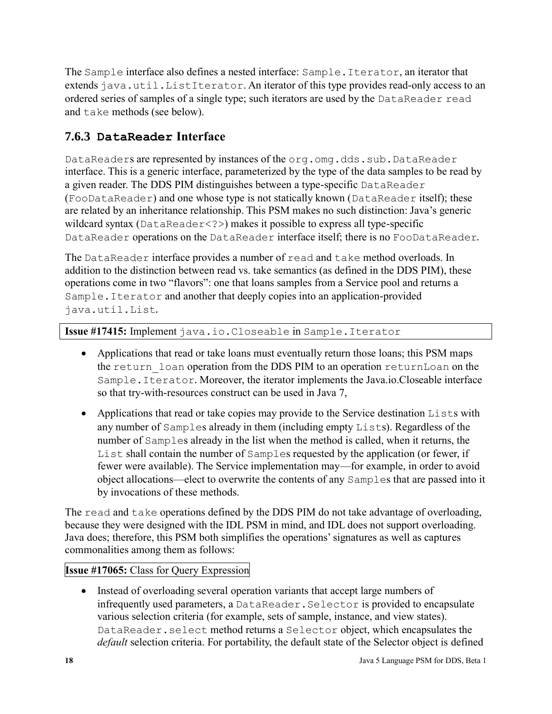The Sample interface also defines a nested interface: Sample. Iterator, an iterator that extends java.util.ListIterator. An iterator of this type provides read-only access to an ordered series of samples of a single type; such iterators are used by the DataReader read and take methods (see [below\)](#page-27-0).

### <span id="page-27-0"></span>**7.6.3 DataReader Interface**

DataReaders are represented by instances of the org.omg.dds.sub.DataReader interface. This is a generic interface, parameterized by the type of the data samples to be read by a given reader. The DDS PIM distinguishes between a type-specific DataReader (FooDataReader) and one whose type is not statically known (DataReader itself); these are related by an inheritance relationship. This PSM makes no such distinction: Java's generic wildcard syntax ( $\text{Database}$  $\leq$ ) makes it possible to express all type-specific DataReader operations on the DataReader interface itself; there is no FooDataReader.

The DataReader interface provides a number of read and take method overloads. In addition to the distinction between read vs. take semantics (as defined in the DDS PIM), these operations come in two "flavors": one that loans samples from a Service pool and returns a Sample.Iterator and another that deeply copies into an application-provided java.util.List.

**Issue #17415:** Implement java.io.Closeable in Sample.Iterator

- Applications that read or take loans must eventually return those loans; this PSM maps the return\_loan operation from the DDS PIM to an operation returnLoan on the Sample.Iterator. Moreover, the iterator implements the Java.io.Closeable interface so that try-with-resources construct can be used in Java 7,
- Applications that read or take copies may provide to the Service destination Lists with any number of Samples already in them (including empty Lists). Regardless of the number of Samples already in the list when the method is called, when it returns, the List shall contain the number of Samples requested by the application (or fewer, if fewer were available). The Service implementation may—for example, in order to avoid object allocations—elect to overwrite the contents of any Samples that are passed into it by invocations of these methods.

The read and take operations defined by the DDS PIM do not take advantage of overloading, because they were designed with the IDL PSM in mind, and IDL does not support overloading. Java does; therefore, this PSM both simplifies the operations' signatures as well as captures commonalities among them as follows:

#### **Issue #17065:** Class for Query Expression

• Instead of overloading several operation variants that accept large numbers of infrequently used parameters, a DataReader.Selector is provided to encapsulate various selection criteria (for example, sets of sample, instance, and view states). DataReader.select method returns a Selector object, which encapsulates the *default* selection criteria. For portability, the default state of the Selector object is defined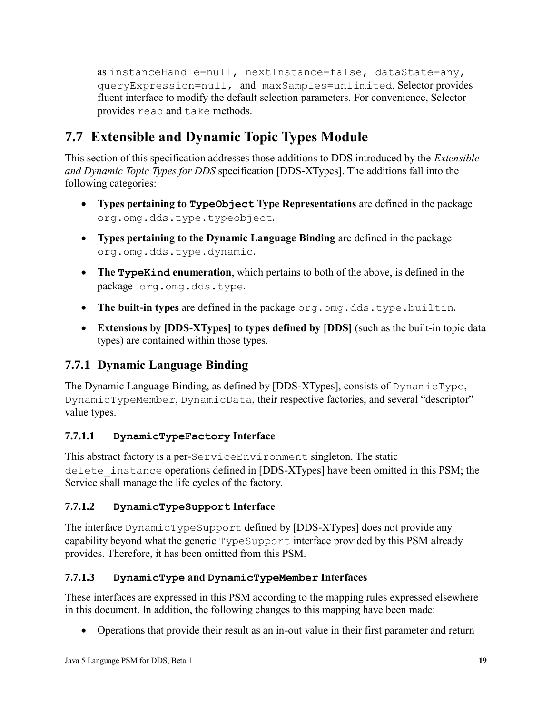as instanceHandle=null, nextInstance=false, dataState=any, queryExpression=null, and maxSamples=unlimited. Selector provides fluent interface to modify the default selection parameters. For convenience, Selector provides read and take methods.

## **7.7 Extensible and Dynamic Topic Types Module**

This section of this specification addresses those additions to DDS introduced by the *Extensible and Dynamic Topic Types for DDS* specification [DDS-XTypes]. The additions fall into the following categories:

- **Types pertaining to TypeObject Type Representations** are defined in the package org.omg.dds.type.typeobject.
- **Types pertaining to the Dynamic Language Binding** are defined in the package org.omg.dds.type.dynamic.
- **The TypeKind enumeration**, which pertains to both of the above, is defined in the package org.omg.dds.type.
- **The built-in types** are defined in the package org.omg.dds.type.builtin.
- **Extensions by [DDS-XTypes] to types defined by [DDS]** (such as the built-in topic data types) are contained within those types.

### **7.7.1 Dynamic Language Binding**

The Dynamic Language Binding, as defined by [DDS-XTypes], consists of DynamicType, DynamicTypeMember, DynamicData, their respective factories, and several "descriptor" value types.

### **7.7.1.1 DynamicTypeFactory Interface**

This abstract factory is a per-ServiceEnvironment singleton. The static delete\_instance operations defined in [DDS-XTypes] have been omitted in this PSM; the Service shall manage the life cycles of the factory.

#### **7.7.1.2 DynamicTypeSupport Interface**

The interface DynamicTypeSupport defined by [DDS-XTypes] does not provide any capability beyond what the generic TypeSupport interface provided by this PSM already provides. Therefore, it has been omitted from this PSM.

#### **7.7.1.3 DynamicType and DynamicTypeMember Interfaces**

These interfaces are expressed in this PSM according to the mapping rules expressed elsewhere in this document. In addition, the following changes to this mapping have been made:

Operations that provide their result as an in-out value in their first parameter and return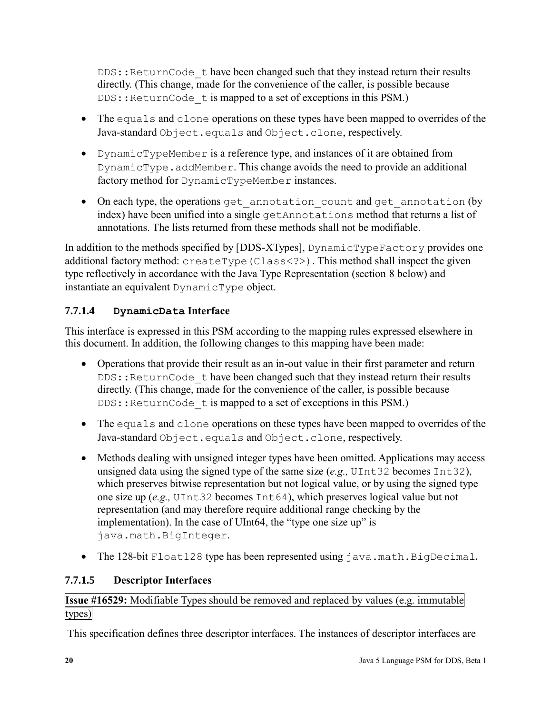DDS:: ReturnCode thave been changed such that they instead return their results directly. (This change, made for the convenience of the caller, is possible because DDS:: ReturnCode t is mapped to a set of exceptions in this PSM.)

- The equals and clone operations on these types have been mapped to overrides of the Java-standard Object.equals and Object.clone, respectively.
- DynamicTypeMember is a reference type, and instances of it are obtained from DynamicType.addMember. This change avoids the need to provide an additional factory method for DynamicTypeMember instances.
- On each type, the operations get annotation count and get annotation (by index) have been unified into a single getAnnotations method that returns a list of annotations. The lists returned from these methods shall not be modifiable.

In addition to the methods specified by [DDS-XTypes], DynamicTypeFactory provides one additional factory method: createType(Class<?>). This method shall inspect the given type reflectively in accordance with the Java Type Representation (section [8 below\)](#page-30-0) and instantiate an equivalent DynamicType object.

#### **7.7.1.4 DynamicData Interface**

This interface is expressed in this PSM according to the mapping rules expressed elsewhere in this document. In addition, the following changes to this mapping have been made:

- Operations that provide their result as an in-out value in their first parameter and return DDS:: ReturnCode t have been changed such that they instead return their results directly. (This change, made for the convenience of the caller, is possible because DDS:: ReturnCode t is mapped to a set of exceptions in this PSM.)
- The equals and clone operations on these types have been mapped to overrides of the Java-standard Object.equals and Object.clone, respectively.
- Methods dealing with unsigned integer types have been omitted. Applications may access unsigned data using the signed type of the same size (*e.g.,* UInt32 becomes Int32), which preserves bitwise representation but not logical value, or by using the signed type one size up (*e.g.,* UInt32 becomes Int64), which preserves logical value but not representation (and may therefore require additional range checking by the implementation). In the case of UInt64, the "type one size up" is java.math.BigInteger.
- The 128-bit  $F$ loat128 type has been represented using java.math.BigDecimal.

#### **7.7.1.5 Descriptor Interfaces**

#### **Issue #16529:** Modifiable Types should be removed and replaced by values (e.g. immutable types)

This specification defines three descriptor interfaces. The instances of descriptor interfaces are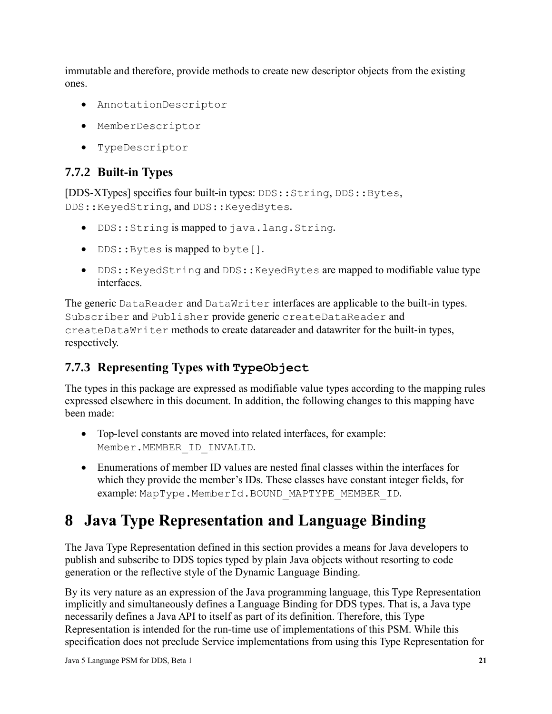immutable and therefore, provide methods to create new descriptor objects from the existing ones.

- AnnotationDescriptor
- MemberDescriptor
- TypeDescriptor

### **7.7.2 Built-in Types**

[DDS-XTypes] specifies four built-in types: DDS::String, DDS::Bytes, DDS::KeyedString, and DDS::KeyedBytes.

- DDS::String is mapped to java.lang.String.
- DDS::Bytes is mapped to byte [].
- DDS::KeyedString and DDS::KeyedBytes are mapped to modifiable value type interfaces.

The generic DataReader and DataWriter interfaces are applicable to the built-in types. Subscriber and Publisher provide generic createDataReader and createDataWriter methods to create datareader and datawriter for the built-in types, respectively.

## **7.7.3 Representing Types with TypeObject**

The types in this package are expressed as modifiable value types according to the mapping rules expressed elsewhere in this document. In addition, the following changes to this mapping have been made:

- Top-level constants are moved into related interfaces, for example: Member.MEMBER\_ID\_INVALID.
- Enumerations of member ID values are nested final classes within the interfaces for which they provide the member's IDs. These classes have constant integer fields, for example: MapType.MemberId.BOUND\_MAPTYPE\_MEMBER\_ID.

## <span id="page-30-0"></span>**8 Java Type Representation and Language Binding**

The Java Type Representation defined in this section provides a means for Java developers to publish and subscribe to DDS topics typed by plain Java objects without resorting to code generation or the reflective style of the Dynamic Language Binding.

By its very nature as an expression of the Java programming language, this Type Representation implicitly and simultaneously defines a Language Binding for DDS types. That is, a Java type necessarily defines a Java API to itself as part of its definition. Therefore, this Type Representation is intended for the run-time use of implementations of this PSM. While this specification does not preclude Service implementations from using this Type Representation for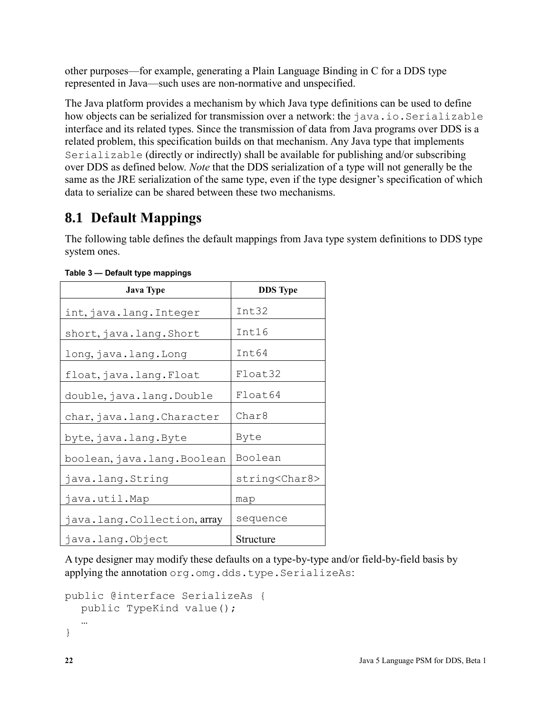other purposes—for example, generating a Plain Language Binding in C for a DDS type represented in Java—such uses are non-normative and unspecified.

The Java platform provides a mechanism by which Java type definitions can be used to define how objects can be serialized for transmission over a network: the java.io.Serializable interface and its related types. Since the transmission of data from Java programs over DDS is a related problem, this specification builds on that mechanism. Any Java type that implements Serializable (directly or indirectly) shall be available for publishing and/or subscribing over DDS as defined below. *Note* that the DDS serialization of a type will not generally be the same as the JRE serialization of the same type, even if the type designer's specification of which data to serialize can be shared between these two mechanisms.

## **8.1 Default Mappings**

The following table defines the default mappings from Java type system definitions to DDS type system ones.

| <b>Java Type</b>            | <b>DDS</b> Type        |
|-----------------------------|------------------------|
| int, java.lang.Integer      | Int32                  |
| short, java.lang.Short      | Int16                  |
| long, java.lang.Long        | Int64                  |
| float, java.lang.Float      | Float32                |
| double, java.lang.Double    | Float64                |
| char, java.lang. Character  | Char8                  |
| byte, java.lang. Byte       | Byte                   |
| boolean, java.lang.Boolean  | Boolean                |
| java.lang.String            | string <char8></char8> |
| java.util.Map               | map                    |
| java.lang.Collection, array | sequence               |
| java.lang.Object            | Structure              |

<span id="page-31-0"></span>**Table 3 — Default type mappings**

A type designer may modify these defaults on a type-by-type and/or field-by-field basis by applying the annotation org.omg.dds.type.SerializeAs:

```
public @interface SerializeAs {
  public TypeKind value();
  …
}
```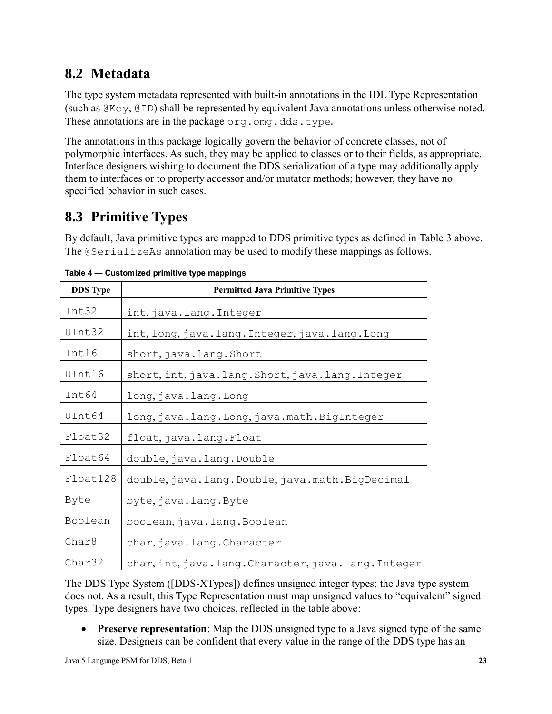## **8.2 Metadata**

The type system metadata represented with built-in annotations in the IDL Type Representation (such as @Key, @ID) shall be represented by equivalent Java annotations unless otherwise noted. These annotations are in the package org.omg.dds.type.

The annotations in this package logically govern the behavior of concrete classes, not of polymorphic interfaces. As such, they may be applied to classes or to their fields, as appropriate. Interface designers wishing to document the DDS serialization of a type may additionally apply them to interfaces or to property accessor and/or mutator methods; however, they have no specified behavior in such cases.

## **8.3 Primitive Types**

By default, Java primitive types are mapped to DDS primitive types as defined in [Table 3](#page-31-0) [above.](#page-31-0) The @SerializeAs annotation may be used to modify these mappings as follows.

| <b>DDS</b> Type | <b>Permitted Java Primitive Types</b>               |
|-----------------|-----------------------------------------------------|
| Int32           | int, java.lang.Integer                              |
| UInt32          | int, long, java.lang. Integer, java.lang. Long      |
| Int16           | short, java.lang. Short                             |
| UInt16          | short, int, java.lang. Short, java.lang. Integer    |
| Int64           | long, java.lang.Long                                |
| UInt64          | long, java.lang.Long, java.math.BigInteger          |
| Float32         | float, java.lang. Float                             |
| Float64         | double, java.lang.Double                            |
| Float128        | double, java.lang.Double, java.math.BigDecimal      |
| Byte            | byte, java.lang.Byte                                |
| Boolean         | boolean, java.lang.Boolean                          |
| Char8           | char, java.lang. Character                          |
| Char32          | char, int, java.lang. Character, java.lang. Integer |

**Table 4 — Customized primitive type mappings**

The DDS Type System ([DDS-XTypes]) defines unsigned integer types; the Java type system does not. As a result, this Type Representation must map unsigned values to "equivalent" signed types. Type designers have two choices, reflected in the table above:

 **Preserve representation**: Map the DDS unsigned type to a Java signed type of the same size. Designers can be confident that every value in the range of the DDS type has an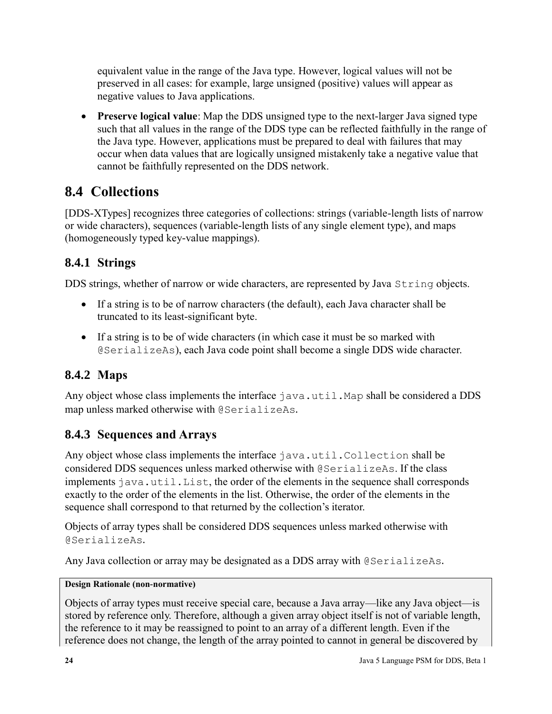equivalent value in the range of the Java type. However, logical values will not be preserved in all cases: for example, large unsigned (positive) values will appear as negative values to Java applications.

 **Preserve logical value**: Map the DDS unsigned type to the next-larger Java signed type such that all values in the range of the DDS type can be reflected faithfully in the range of the Java type. However, applications must be prepared to deal with failures that may occur when data values that are logically unsigned mistakenly take a negative value that cannot be faithfully represented on the DDS network.

## **8.4 Collections**

[DDS-XTypes] recognizes three categories of collections: strings (variable-length lists of narrow or wide characters), sequences (variable-length lists of any single element type), and maps (homogeneously typed key-value mappings).

## **8.4.1 Strings**

DDS strings, whether of narrow or wide characters, are represented by Java String objects.

- If a string is to be of narrow characters (the default), each Java character shall be truncated to its least-significant byte.
- If a string is to be of wide characters (in which case it must be so marked with @SerializeAs), each Java code point shall become a single DDS wide character.

## **8.4.2 Maps**

Any object whose class implements the interface java.util.Map shall be considered a DDS map unless marked otherwise with @SerializeAs.

### **8.4.3 Sequences and Arrays**

Any object whose class implements the interface java.util.Collection shall be considered DDS sequences unless marked otherwise with @SerializeAs. If the class implements java.util.List, the order of the elements in the sequence shall corresponds exactly to the order of the elements in the list. Otherwise, the order of the elements in the sequence shall correspond to that returned by the collection's iterator.

Objects of array types shall be considered DDS sequences unless marked otherwise with @SerializeAs.

Any Java collection or array may be designated as a DDS array with @SerializeAs.

#### **Design Rationale (non-normative)**

Objects of array types must receive special care, because a Java array—like any Java object—is stored by reference only. Therefore, although a given array object itself is not of variable length, the reference to it may be reassigned to point to an array of a different length. Even if the reference does not change, the length of the array pointed to cannot in general be discovered by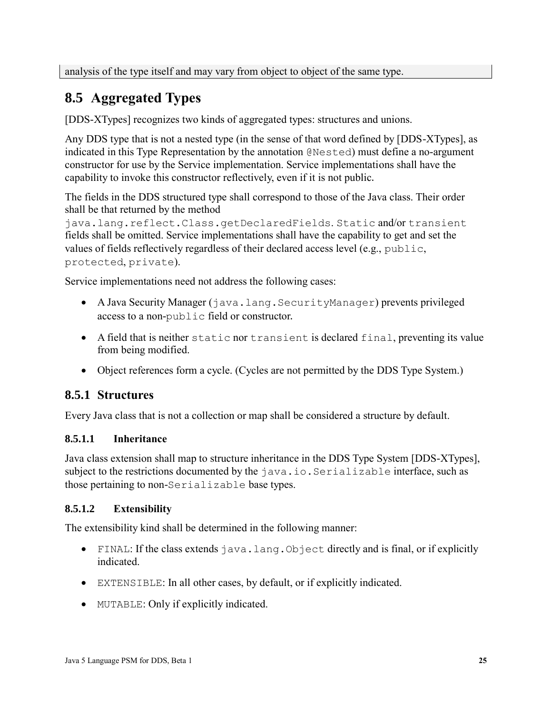## **8.5 Aggregated Types**

[DDS-XTypes] recognizes two kinds of aggregated types: structures and unions.

Any DDS type that is not a nested type (in the sense of that word defined by [DDS-XTypes], as indicated in this Type Representation by the annotation @Nested) must define a no-argument constructor for use by the Service implementation. Service implementations shall have the capability to invoke this constructor reflectively, even if it is not public.

The fields in the DDS structured type shall correspond to those of the Java class. Their order shall be that returned by the method

java.lang.reflect.Class.getDeclaredFields. Static and/or transient fields shall be omitted. Service implementations shall have the capability to get and set the values of fields reflectively regardless of their declared access level (e.g., public, protected, private).

Service implementations need not address the following cases:

- A Java Security Manager (java.lang.SecurityManager) prevents privileged access to a non-public field or constructor.
- A field that is neither static nor transient is declared final, preventing its value from being modified.
- Object references form a cycle. (Cycles are not permitted by the DDS Type System.)

#### **8.5.1 Structures**

Every Java class that is not a collection or map shall be considered a structure by default.

#### **8.5.1.1 Inheritance**

Java class extension shall map to structure inheritance in the DDS Type System [DDS-XTypes], subject to the restrictions documented by the java.io.Serializable interface, such as those pertaining to non-Serializable base types.

#### **8.5.1.2 Extensibility**

The extensibility kind shall be determined in the following manner:

- FINAL: If the class extends java.lang.Object directly and is final, or if explicitly indicated.
- EXTENSIBLE: In all other cases, by default, or if explicitly indicated.
- MUTABLE: Only if explicitly indicated.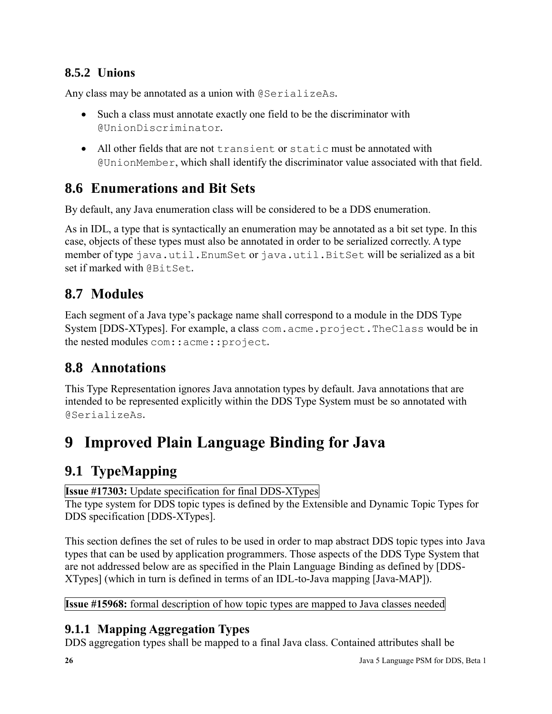### **8.5.2 Unions**

Any class may be annotated as a union with @SerializeAs.

- Such a class must annotate exactly one field to be the discriminator with @UnionDiscriminator.
- All other fields that are not transient or static must be annotated with @UnionMember, which shall identify the discriminator value associated with that field.

## **8.6 Enumerations and Bit Sets**

By default, any Java enumeration class will be considered to be a DDS enumeration.

As in IDL, a type that is syntactically an enumeration may be annotated as a bit set type. In this case, objects of these types must also be annotated in order to be serialized correctly. A type member of type java.util.EnumSet or java.util.BitSet will be serialized as a bit set if marked with @BitSet.

## **8.7 Modules**

Each segment of a Java type's package name shall correspond to a module in the DDS Type System [DDS-XTypes]. For example, a class com.acme.project.TheClass would be in the nested modules com::acme::project.

## **8.8 Annotations**

This Type Representation ignores Java annotation types by default. Java annotations that are intended to be represented explicitly within the DDS Type System must be so annotated with @SerializeAs.

## **9 Improved Plain Language Binding for Java**

## **9.1 TypeMapping**

**Issue #17303:** Update specification for final DDS-XTypes

The type system for DDS topic types is defined by the Extensible and Dynamic Topic Types for DDS specification [DDS-XTypes].

This section defines the set of rules to be used in order to map abstract DDS topic types into Java types that can be used by application programmers. Those aspects of the DDS Type System that are not addressed below are as specified in the Plain Language Binding as defined by [DDS-XTypes] (which in turn is defined in terms of an IDL-to-Java mapping [Java-MAP]).

**Issue #15968:** formal description of how topic types are mapped to Java classes needed

## **9.1.1 Mapping Aggregation Types**

DDS aggregation types shall be mapped to a final Java class. Contained attributes shall be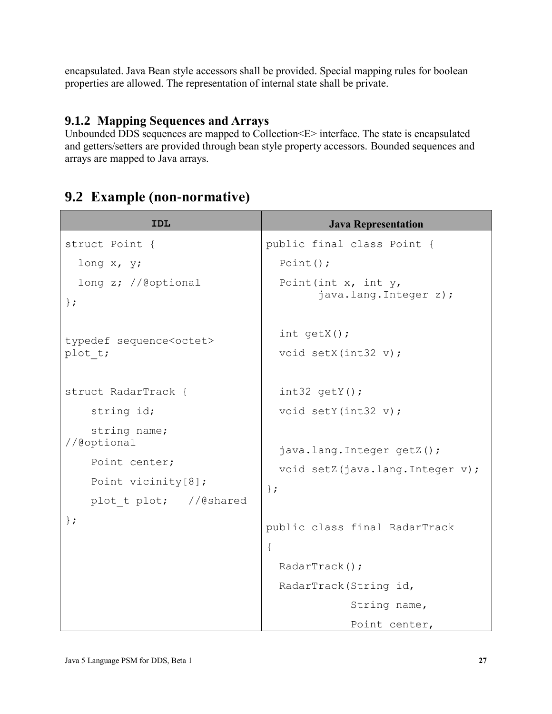encapsulated. Java Bean style accessors shall be provided. Special mapping rules for boolean properties are allowed. The representation of internal state shall be private.

### **9.1.2 Mapping Sequences and Arrays**

Unbounded DDS sequences are mapped to Collection  $\leq E$  interface. The state is encapsulated and getters/setters are provided through bean style property accessors. Bounded sequences and arrays are mapped to Java arrays.

#### **IDL Java Representation** struct Point { long x, y; long z; //@optional }; typedef sequence<octet> plot t; struct RadarTrack { string id; string name; //@optional Point center; Point vicinity[8]; plot t plot; //@shared }; public final class Point { Point(); Point(int x, int y, java.lang.Integer z); int getX(); void setX(int32 v); int32 getY(); void setY(int32 v); java.lang.Integer getZ(); void setZ(java.lang.Integer v); }; public class final RadarTrack { RadarTrack(); RadarTrack(String id, String name, Point center,

## **9.2 Example (non-normative)**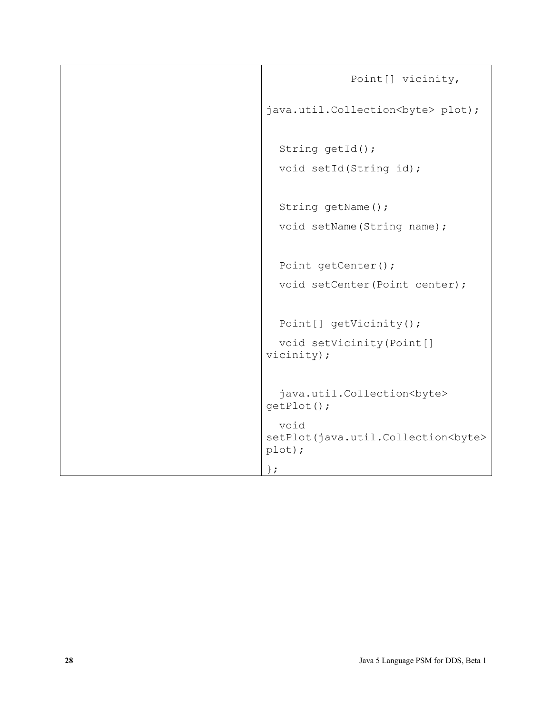```
 Point[] vicinity, 
java.util.Collection<br/>byte> plot);
  String getId();
   void setId(String id);
   String getName();
   void setName(String name);
   Point getCenter();
   void setCenter(Point center);
   Point[] getVicinity();
   void setVicinity(Point[] 
vicinity);
   java.util.Collection<byte> 
getPlot();
   void 
setPlot(java.util.Collection<byte> 
plot);
};
```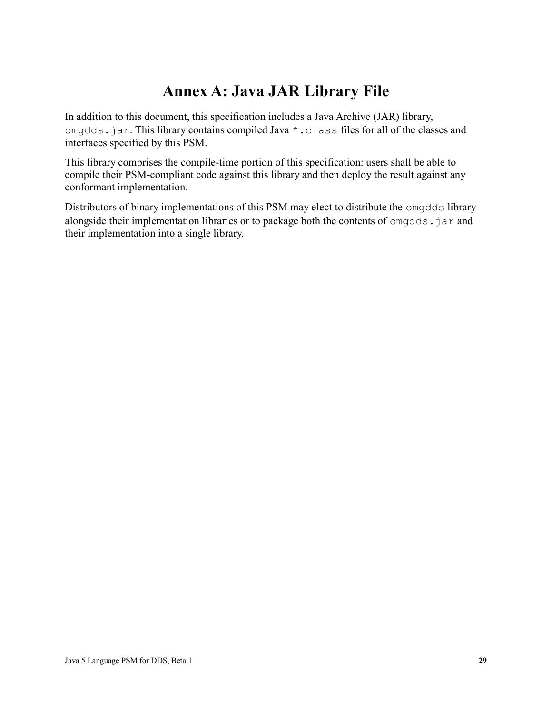## **Annex A: Java JAR Library File**

In addition to this document, this specification includes a Java Archive (JAR) library, omgdds.jar. This library contains compiled Java \*.class files for all of the classes and interfaces specified by this PSM.

This library comprises the compile-time portion of this specification: users shall be able to compile their PSM-compliant code against this library and then deploy the result against any conformant implementation.

Distributors of binary implementations of this PSM may elect to distribute the omgdds library alongside their implementation libraries or to package both the contents of omgdds. jar and their implementation into a single library.